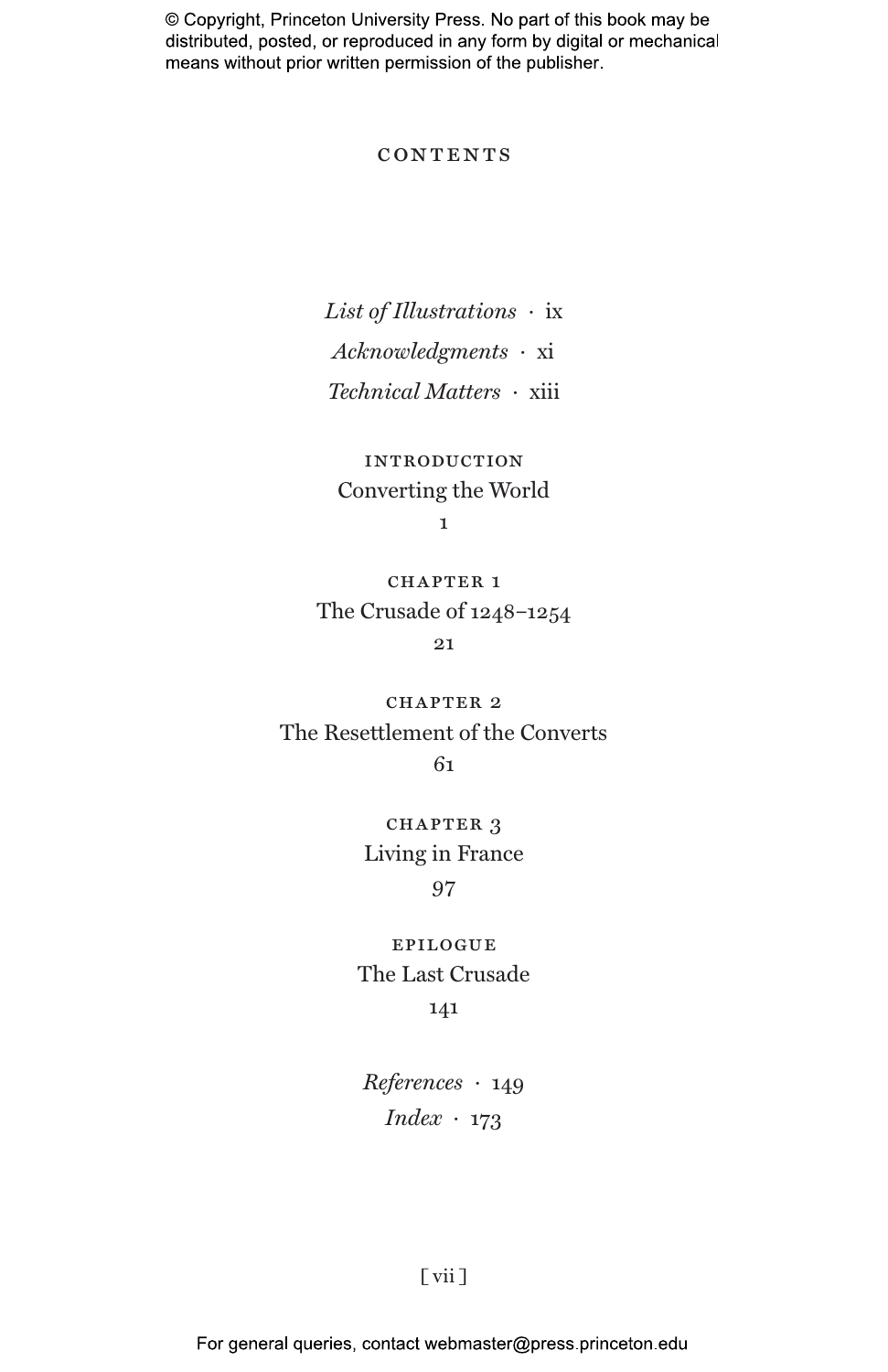# CONTENTS

*List of Illustrations ·* ix *Acknowledgments ·* xi *Technical Matters ·* xiii

**INTRODUCTION** Converting the World 1

CHAPTER 1 The Crusade of 1248–1254 21

CHAPTER 2 The Resettlement of the Converts 61

> CHAPTER 3 Living in France 97

Epilogue The Last Crusade 141

*References ·* 149 *Index ·* 173

[ vii ]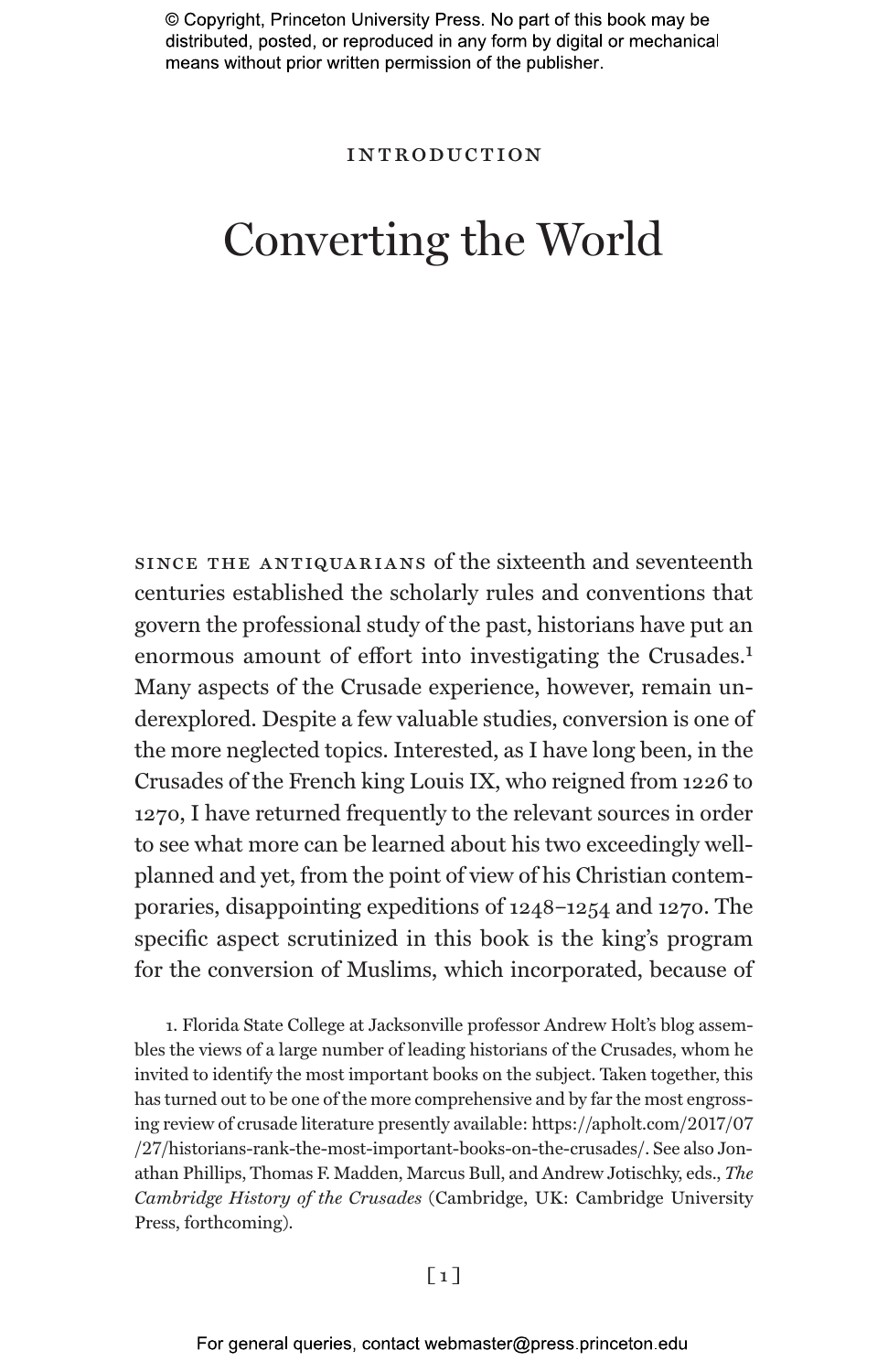#### Introduction

# Converting the World

SINCE THE ANTIQUARIANS of the sixteenth and seventeenth centuries established the scholarly rules and conventions that govern the professional study of the past, historians have put an enormous amount of effort into investigating the Crusades.1 Many aspects of the Crusade experience, however, remain underexplored. Despite a few valuable studies, conversion is one of the more neglected topics. Interested, as I have long been, in the Crusades of the French king Louis IX, who reigned from 1226 to 1270, I have returned frequently to the relevant sources in order to see what more can be learned about his two exceedingly wellplanned and yet, from the point of view of his Christian contemporaries, disappointing expeditions of 1248–1254 and 1270. The specific aspect scrutinized in this book is the king's program for the conversion of Muslims, which incorporated, because of

1. Florida State College at Jacksonville professor Andrew Holt's blog assembles the views of a large number of leading historians of the Crusades, whom he invited to identify the most important books on the subject. Taken together, this has turned out to be one of the more comprehensive and by far the most engrossing review of crusade literature presently available: https://apholt.com/2017/07 /27/historians-rank-the-most-important-books-on-the-crusades/. See also Jonathan Phillips, Thomas F. Madden, Marcus Bull, and Andrew Jotischky, eds., *The Cambridge History of the Crusades* (Cambridge, UK: Cambridge University Press, forthcoming).

# [ 1 ]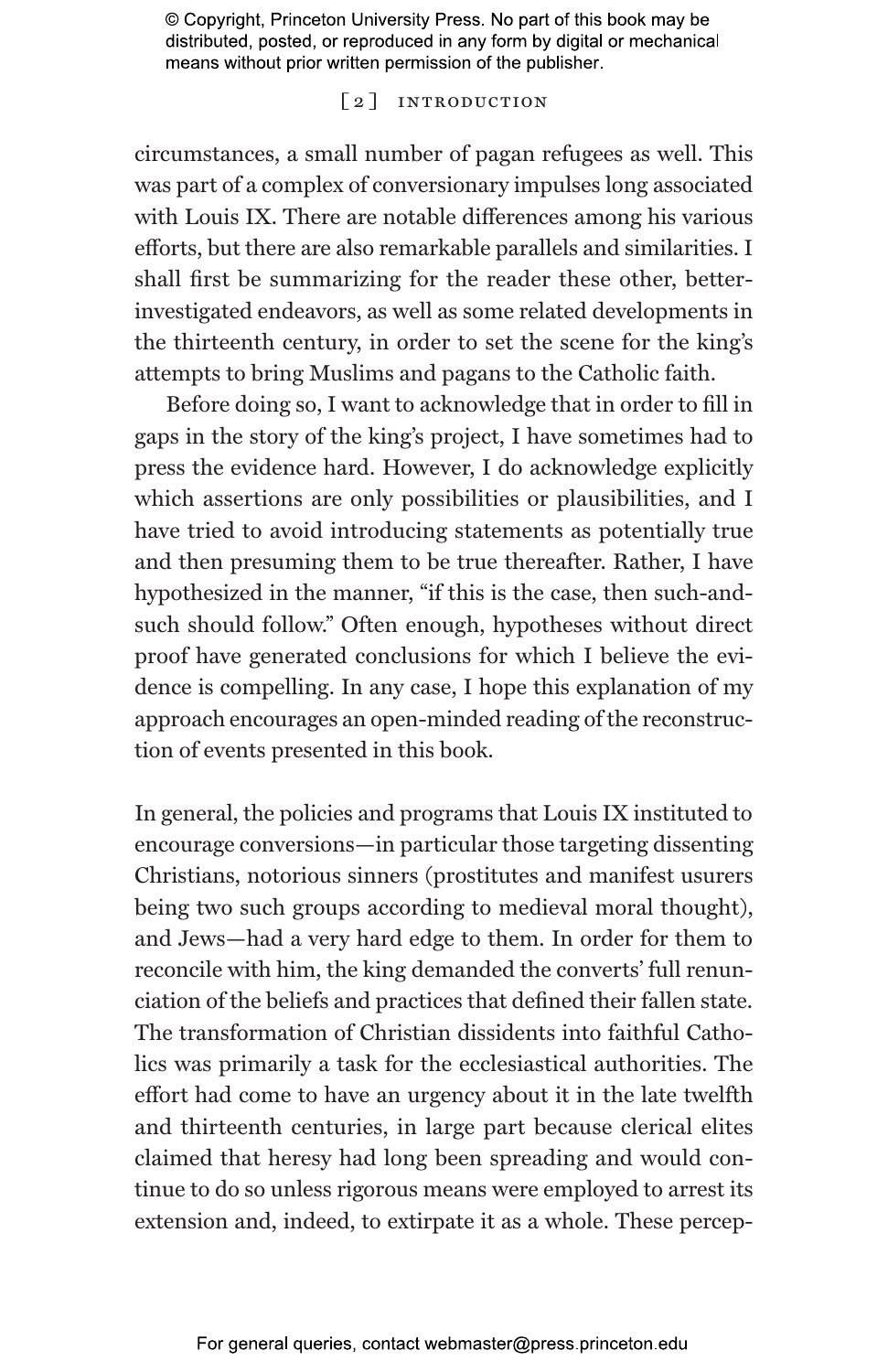# [ 2 ] Introduction

circumstances, a small number of pagan refugees as well. This was part of a complex of conversionary impulses long associated with Louis IX. There are notable differences among his various efforts, but there are also remarkable parallels and similarities. I shall first be summarizing for the reader these other, betterinvestigated endeavors, as well as some related developments in the thirteenth century, in order to set the scene for the king's attempts to bring Muslims and pagans to the Catholic faith.

Before doing so, I want to acknowledge that in order to fill in gaps in the story of the king's project, I have sometimes had to press the evidence hard. However, I do acknowledge explicitly which assertions are only possibilities or plausibilities, and I have tried to avoid introducing statements as potentially true and then presuming them to be true thereafter. Rather, I have hypothesized in the manner, "if this is the case, then such-andsuch should follow." Often enough, hypotheses without direct proof have generated conclusions for which I believe the evidence is compelling. In any case, I hope this explanation of my approach encourages an open-minded reading of the reconstruction of events presented in this book.

In general, the policies and programs that Louis IX instituted to encourage conversions—in particular those targeting dissenting Christians, notorious sinners (prostitutes and manifest usurers being two such groups according to medieval moral thought), and Jews—had a very hard edge to them. In order for them to reconcile with him, the king demanded the converts' full renunciation of the beliefs and practices that defined their fallen state. The transformation of Christian dissidents into faithful Catholics was primarily a task for the ecclesiastical authorities. The effort had come to have an urgency about it in the late twelfth and thirteenth centuries, in large part because clerical elites claimed that heresy had long been spreading and would continue to do so unless rigorous means were employed to arrest its extension and, indeed, to extirpate it as a whole. These percep-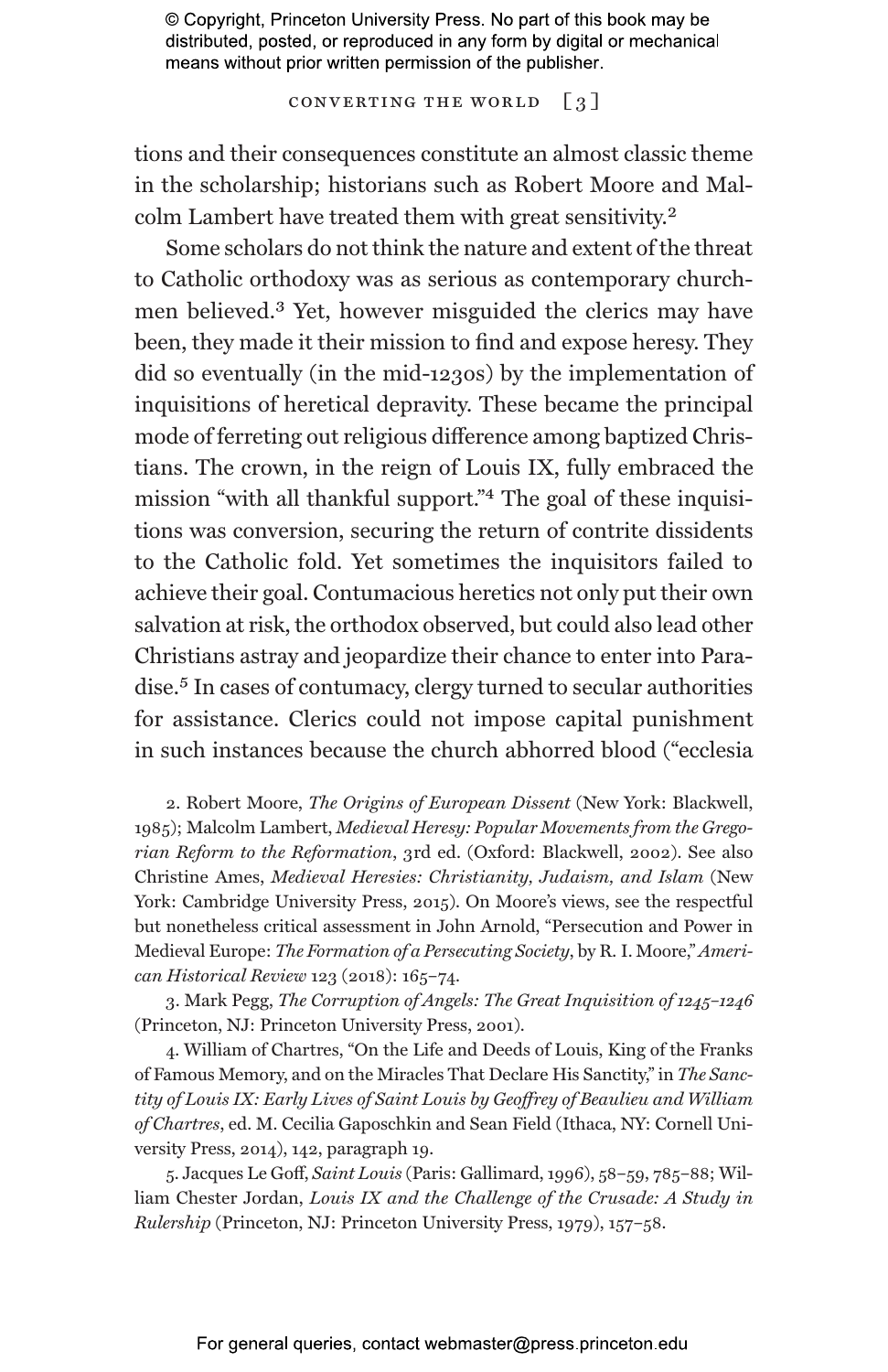CONVERTING THE WORLD  $\begin{bmatrix} 3 \end{bmatrix}$ 

tions and their consequences constitute an almost classic theme in the scholarship; historians such as Robert Moore and Malcolm Lambert have treated them with great sensitivity.<sup>2</sup>

Some scholars do not think the nature and extent of the threat to Catholic orthodoxy was as serious as contemporary churchmen believed.3 Yet, however misguided the clerics may have been, they made it their mission to find and expose heresy. They did so eventually (in the mid-1230s) by the implementation of inquisitions of heretical depravity. These became the principal mode of ferreting out religious difference among baptized Christians. The crown, in the reign of Louis IX, fully embraced the mission "with all thankful support."4 The goal of these inquisitions was conversion, securing the return of contrite dissidents to the Catholic fold. Yet sometimes the inquisitors failed to achieve their goal. Contumacious heretics not only put their own salvation at risk, the orthodox observed, but could also lead other Christians astray and jeopardize their chance to enter into Paradise.<sup>5</sup> In cases of contumacy, clergy turned to secular authorities for assistance. Clerics could not impose capital punishment in such instances because the church abhorred blood ("ecclesia

2. Robert Moore, *The Origins of European Dissent* (New York: Blackwell, 1985); Malcolm Lambert, *Medieval Heresy: Popular Movements from the Gregorian Reform to the Reformation*, 3rd ed. (Oxford: Blackwell, 2002). See also Christine Ames, *Medieval Heresies: Christianity, Judaism, and Islam* (New York: Cambridge University Press, 2015). On Moore's views, see the respectful but nonetheless critical assessment in John Arnold, "Persecution and Power in Medieval Europe: *The Formation of a Persecuting Society*, by R. I. Moore," *American Historical Review* 123 (2018): 165–74.

3. Mark Pegg, *The Corruption of Angels: The Great Inquisition of 1245–1246* (Princeton, NJ: Princeton University Press, 2001).

4. William of Chartres, "On the Life and Deeds of Louis, King of the Franks of Famous Memory, and on the Miracles That Declare His Sanctity," in *The Sanctity of Louis IX: Early Lives of Saint Louis by Geoffrey of Beaulieu and William of Chartres*, ed. M. Cecilia Gaposchkin and Sean Field (Ithaca, NY: Cornell University Press, 2014), 142, paragraph 19.

5. Jacques Le Goff, *Saint Louis* (Paris: Gallimard, 1996), 58–59, 785–88; William Chester Jordan, *Louis IX and the Challenge of the Crusade: A Study in Rulership* (Princeton, NJ: Princeton University Press, 1979), 157–58.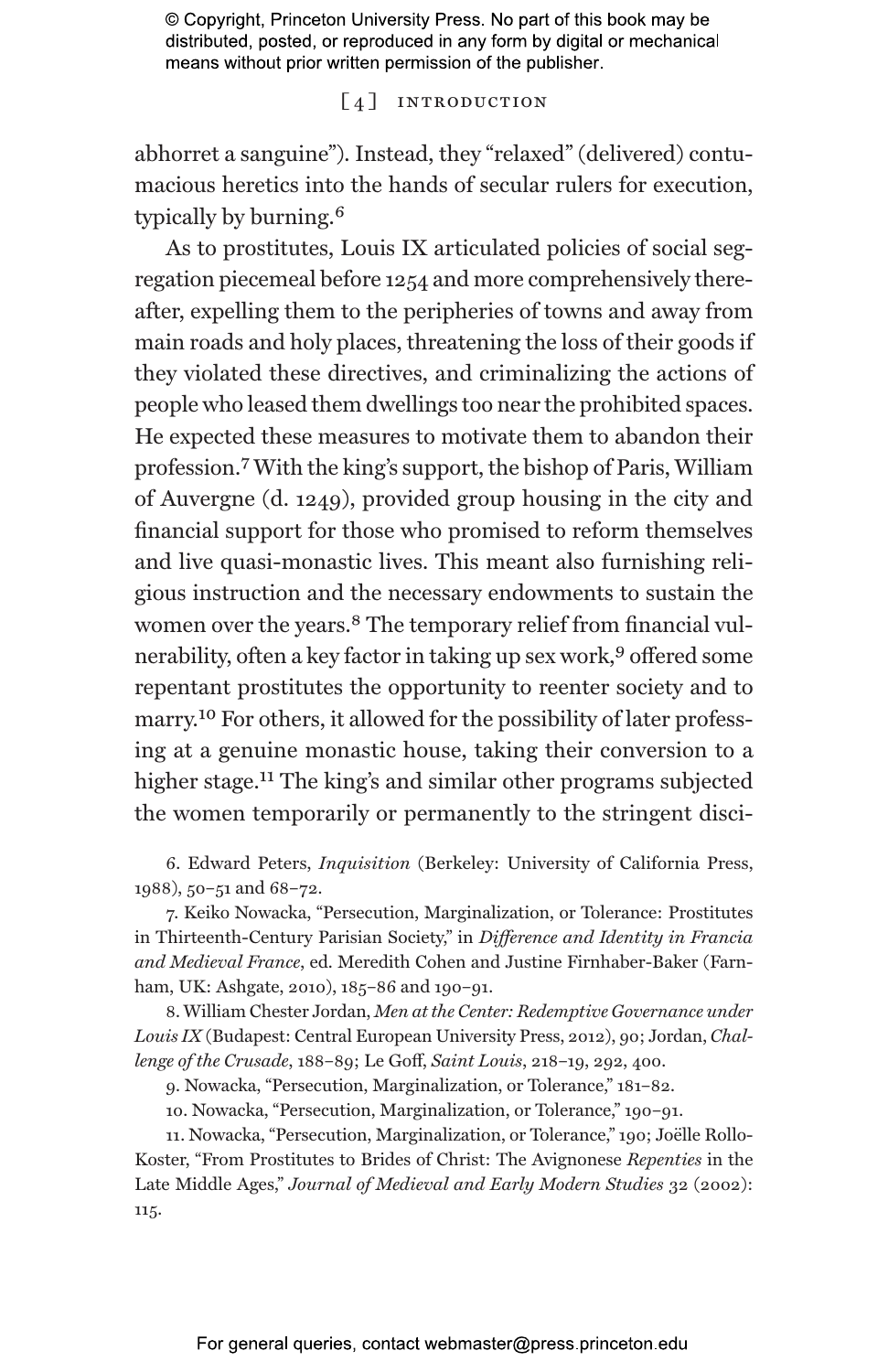[4] INTRODUCTION

abhorret a sanguine"). Instead, they "relaxed" (delivered) contumacious heretics into the hands of secular rulers for execution, typically by burning.6

As to prostitutes, Louis IX articulated policies of social segregation piecemeal before 1254 and more comprehensively thereafter, expelling them to the peripheries of towns and away from main roads and holy places, threatening the loss of their goods if they violated these directives, and criminalizing the actions of people who leased them dwellings too near the prohibited spaces. He expected these measures to motivate them to abandon their profession.7 With the king's support, the bishop of Paris, William of Auvergne (d. 1249), provided group housing in the city and financial support for those who promised to reform themselves and live quasi-monastic lives. This meant also furnishing religious instruction and the necessary endowments to sustain the women over the years.<sup>8</sup> The temporary relief from financial vulnerability, often a key factor in taking up sex work,<sup>9</sup> offered some repentant prostitutes the opportunity to reenter society and to marry.10 For others, it allowed for the possibility of later professing at a genuine monastic house, taking their conversion to a higher stage.<sup>11</sup> The king's and similar other programs subjected the women temporarily or permanently to the stringent disci-

6. Edward Peters, *Inquisition* (Berkeley: University of California Press, 1988), 50–51 and 68–72.

7. Keiko Nowacka, "Persecution, Marginalization, or Tolerance: Prostitutes in Thirteenth-Century Parisian Society," in *Difference and Identity in Francia and Medieval France*, ed. Meredith Cohen and Justine Firnhaber-Baker (Farnham, UK: Ashgate, 2010), 185-86 and 190-91.

8. William Chester Jordan, *Men at the Center: Redemptive Governance under Louis IX* (Budapest: Central European University Press, 2012), 90; Jordan, *Challenge of the Crusade*, 188–89; Le Goff, *Saint Louis*, 218–19, 292, 400.

9. Nowacka, "Persecution, Marginalization, or Tolerance," 181–82.

10. Nowacka, "Persecution, Marginalization, or Tolerance," 190–91.

11. Nowacka, "Persecution, Marginalization, or Tolerance," 190; Joëlle Rollo-Koster, "From Prostitutes to Brides of Christ: The Avignonese *Repenties* in the Late Middle Ages," *Journal of Medieval and Early Modern Studies* 32 (2002): 115.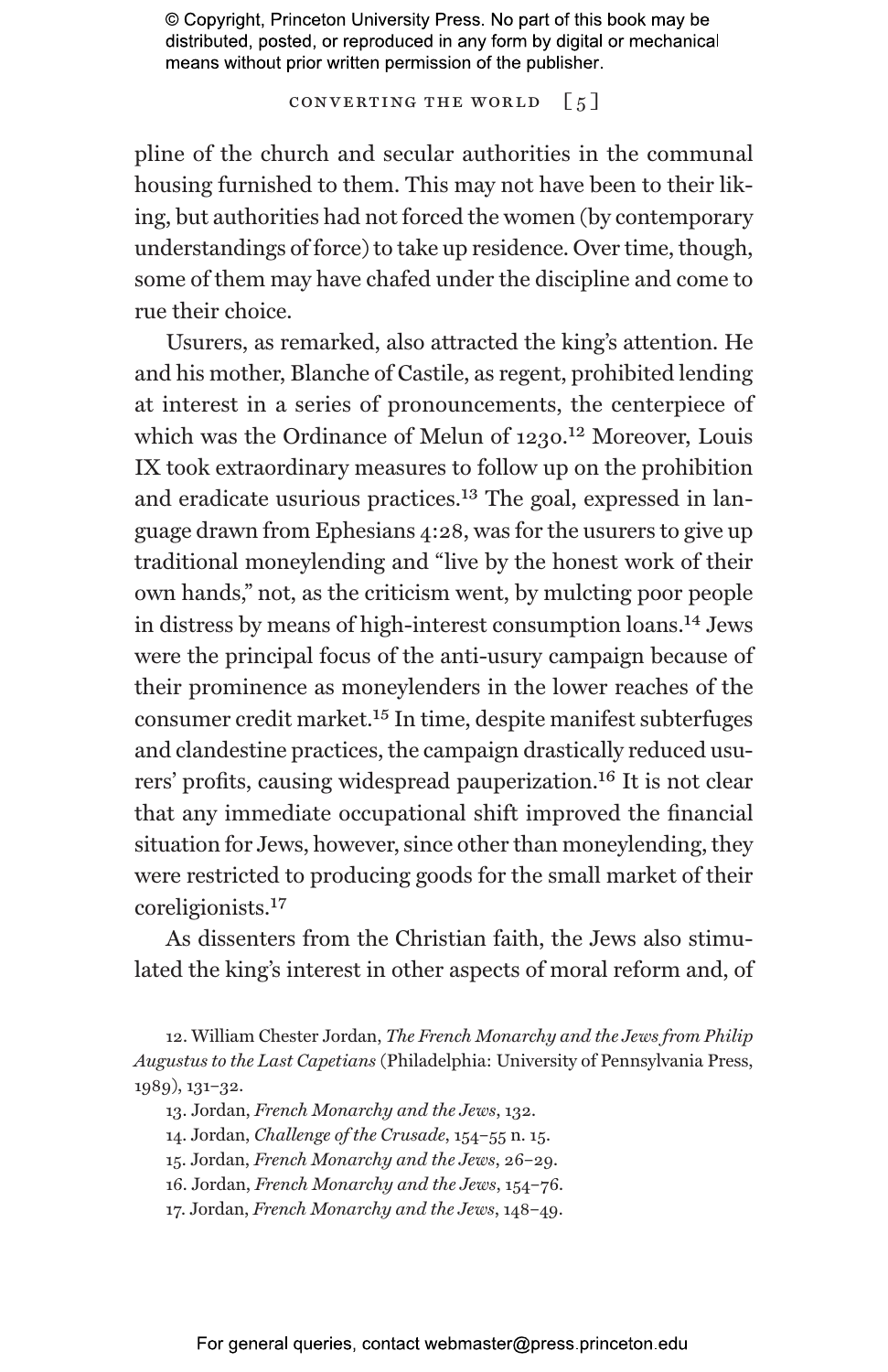CONVERTING THE WORLD  $\lceil 5 \rceil$ 

pline of the church and secular authorities in the communal housing furnished to them. This may not have been to their liking, but authorities had not forced the women (by contemporary understandings of force) to take up residence. Over time, though, some of them may have chafed under the discipline and come to rue their choice.

Usurers, as remarked, also attracted the king's attention. He and his mother, Blanche of Castile, as regent, prohibited lending at interest in a series of pronouncements, the centerpiece of which was the Ordinance of Melun of 1230.<sup>12</sup> Moreover, Louis IX took extraordinary measures to follow up on the prohibition and eradicate usurious practices.13 The goal, expressed in language drawn from Ephesians 4:28, was for the usurers to give up traditional moneylending and "live by the honest work of their own hands," not, as the criticism went, by mulcting poor people in distress by means of high-interest consumption loans.14 Jews were the principal focus of the anti-usury campaign because of their prominence as moneylenders in the lower reaches of the consumer credit market.15 In time, despite manifest subterfuges and clandestine practices, the campaign drastically reduced usurers' profits, causing widespread pauperization.16 It is not clear that any immediate occupational shift improved the financial situation for Jews, however, since other than moneylending, they were restricted to producing goods for the small market of their coreligionists.17

As dissenters from the Christian faith, the Jews also stimulated the king's interest in other aspects of moral reform and, of

<sup>12.</sup> William Chester Jordan, *The French Monarchy and the Jews from Philip Augustus to the Last Capetians* (Philadelphia: University of Pennsylvania Press, 1989), 131–32.

<sup>13.</sup> Jordan, *French Monarchy and the Jews*, 132.

<sup>14.</sup> Jordan, *Challenge of the Crusade*, 154–55 n. 15.

<sup>15.</sup> Jordan, *French Monarchy and the Jews*, 26–29.

<sup>16.</sup> Jordan, *French Monarchy and the Jews*, 154–76.

<sup>17.</sup> Jordan, *French Monarchy and the Jews*, 148–49.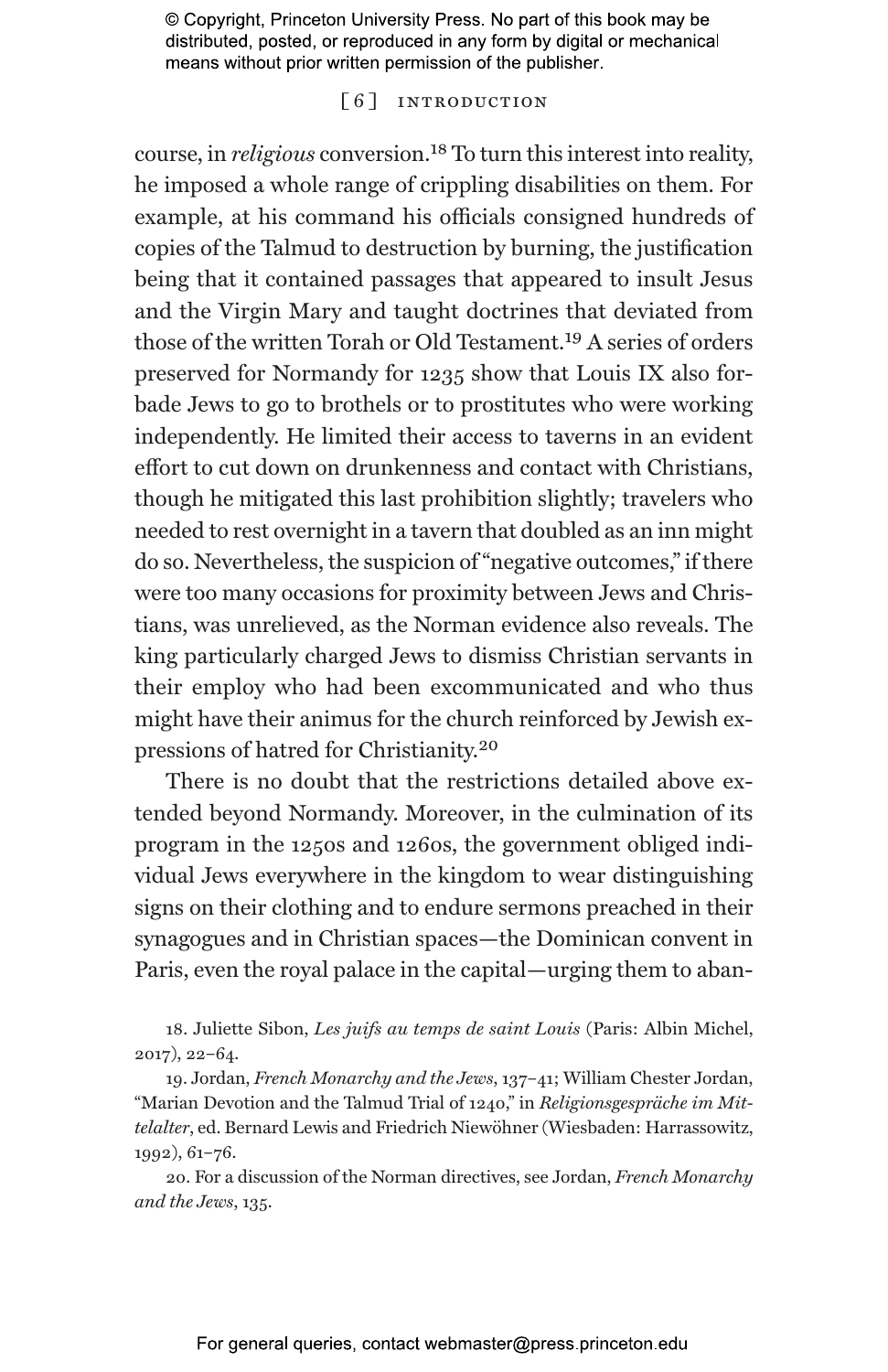#### [ 6 ] Introduction

course, in *religious* conversion.18 To turn this interest into reality, he imposed a whole range of crippling disabilities on them. For example, at his command his officials consigned hundreds of copies of the Talmud to destruction by burning, the justification being that it contained passages that appeared to insult Jesus and the Virgin Mary and taught doctrines that deviated from those of the written Torah or Old Testament.19 A series of orders preserved for Normandy for 1235 show that Louis IX also forbade Jews to go to brothels or to prostitutes who were working independently. He limited their access to taverns in an evident effort to cut down on drunkenness and contact with Christians, though he mitigated this last prohibition slightly; travelers who needed to rest overnight in a tavern that doubled as an inn might do so. Nevertheless, the suspicion of "negative outcomes," if there were too many occasions for proximity between Jews and Christians, was unrelieved, as the Norman evidence also reveals. The king particularly charged Jews to dismiss Christian servants in their employ who had been excommunicated and who thus might have their animus for the church reinforced by Jewish expressions of hatred for Christianity.20

There is no doubt that the restrictions detailed above extended beyond Normandy. Moreover, in the culmination of its program in the 1250s and 1260s, the government obliged individual Jews everywhere in the kingdom to wear distinguishing signs on their clothing and to endure sermons preached in their synagogues and in Christian spaces—the Dominican convent in Paris, even the royal palace in the capital—urging them to aban-

18. Juliette Sibon, *Les juifs au temps de saint Louis* (Paris: Albin Michel, 2017), 22–64.

19. Jordan, *French Monarchy and the Jews*, 137–41; William Chester Jordan, "Marian Devotion and the Talmud Trial of 1240," in *Religionsgespräche im Mittelalter*, ed. Bernard Lewis and Friedrich Niewöhner (Wiesbaden: Harrassowitz, 1992), 61–76.

20. For a discussion of the Norman directives, see Jordan, *French Monarchy and the Jews*, 135.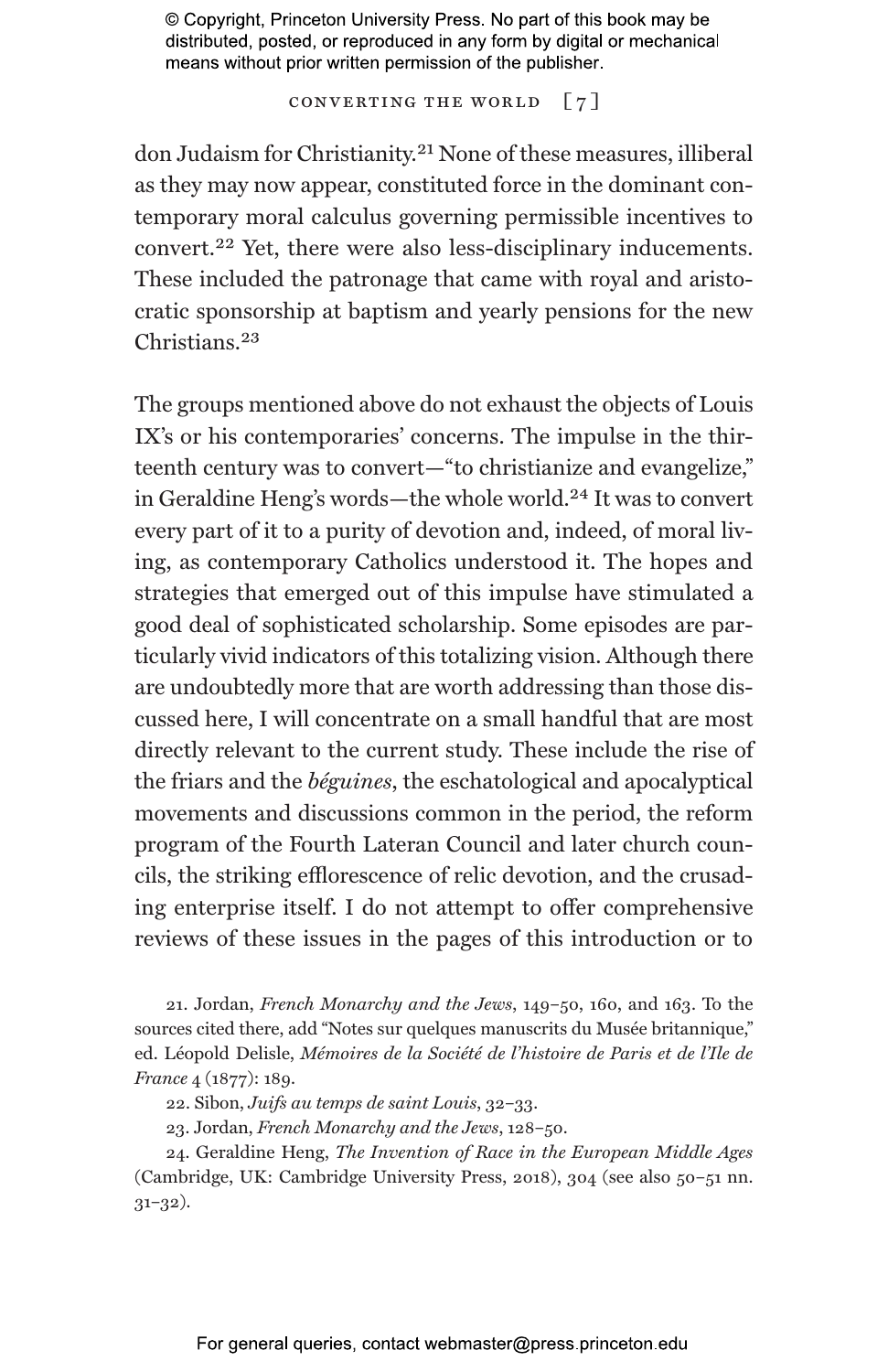CONVERTING THE WORLD  $\lceil 7 \rceil$ 

don Judaism for Christianity.21 None of these measures, illiberal as they may now appear, constituted force in the dominant contemporary moral calculus governing permissible incentives to convert.22 Yet, there were also less-disciplinary inducements. These included the patronage that came with royal and aristocratic sponsorship at baptism and yearly pensions for the new Christians.23

The groups mentioned above do not exhaust the objects of Louis IX's or his contemporaries' concerns. The impulse in the thirteenth century was to convert—"to christianize and evangelize," in Geraldine Heng's words—the whole world.24 It was to convert every part of it to a purity of devotion and, indeed, of moral living, as contemporary Catholics understood it. The hopes and strategies that emerged out of this impulse have stimulated a good deal of sophisticated scholarship. Some episodes are particularly vivid indicators of this totalizing vision. Although there are undoubtedly more that are worth addressing than those discussed here, I will concentrate on a small handful that are most directly relevant to the current study. These include the rise of the friars and the *béguines*, the eschatological and apocalyptical movements and discussions common in the period, the reform program of the Fourth Lateran Council and later church councils, the striking efflorescence of relic devotion, and the crusading enterprise itself. I do not attempt to offer comprehensive reviews of these issues in the pages of this introduction or to

21. Jordan, *French Monarchy and the Jews*, 149–50, 160, and 163. To the sources cited there, add "Notes sur quelques manuscrits du Musée britannique," ed. Léopold Delisle, *Mémoires de la Société de l'histoire de Paris et de l'Ile de France* 4 (1877): 189.

22. Sibon, *Juifs au temps de saint Louis*, 32–33.

23. Jordan, *French Monarchy and the Jews*, 128–50.

24. Geraldine Heng, *The Invention of Race in the European Middle Ages* (Cambridge, UK: Cambridge University Press, 2018), 304 (see also 50–51 nn. 31–32).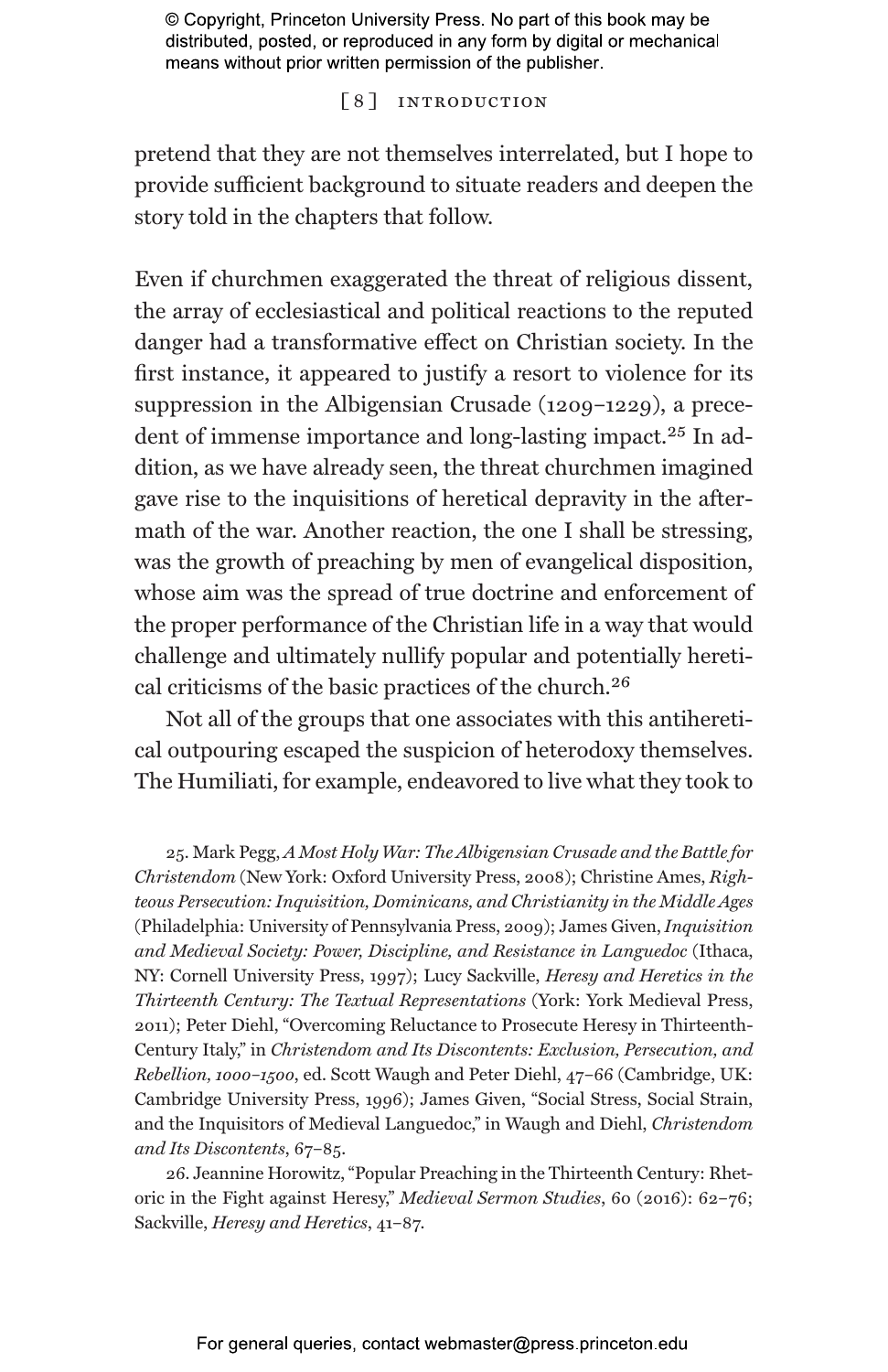[ 8 ] Introduction

pretend that they are not themselves interrelated, but I hope to provide sufficient background to situate readers and deepen the story told in the chapters that follow.

Even if churchmen exaggerated the threat of religious dissent, the array of ecclesiastical and political reactions to the reputed danger had a transformative effect on Christian society. In the first instance, it appeared to justify a resort to violence for its suppression in the Albigensian Crusade (1209–1229), a precedent of immense importance and long-lasting impact.25 In addition, as we have already seen, the threat churchmen imagined gave rise to the inquisitions of heretical depravity in the aftermath of the war. Another reaction, the one I shall be stressing, was the growth of preaching by men of evangelical disposition, whose aim was the spread of true doctrine and enforcement of the proper performance of the Christian life in a way that would challenge and ultimately nullify popular and potentially heretical criticisms of the basic practices of the church.26

Not all of the groups that one associates with this antiheretical outpouring escaped the suspicion of heterodoxy themselves. The Humiliati, for example, endeavored to live what they took to

25. Mark Pegg, *A Most Holy War: The Albigensian Crusade and the Battle for Christendom* (New York: Oxford University Press, 2008); Christine Ames, *Righteous Persecution: Inquisition, Dominicans, and Christianity in the Middle Ages* (Philadelphia: University of Pennsylvania Press, 2009); James Given, *Inquisition and Medieval Society: Power, Discipline, and Resistance in Languedoc* (Ithaca, NY: Cornell University Press, 1997); Lucy Sackville, *Heresy and Heretics in the Thirteenth Century: The Textual Representations* (York: York Medieval Press, 2011); Peter Diehl, "Overcoming Reluctance to Prosecute Heresy in Thirteenth-Century Italy," in *Christendom and Its Discontents: Exclusion, Persecution, and Rebellion, 1000–1500*, ed. Scott Waugh and Peter Diehl, 47–66 (Cambridge, UK: Cambridge University Press, 1996); James Given, "Social Stress, Social Strain, and the Inquisitors of Medieval Languedoc," in Waugh and Diehl, *Christendom and Its Discontents*, 67–85.

26. Jeannine Horowitz, "Popular Preaching in the Thirteenth Century: Rhetoric in the Fight against Heresy," *Medieval Sermon Studies*, 60 (2016): 62–76; Sackville, *Heresy and Heretics*, 41–87.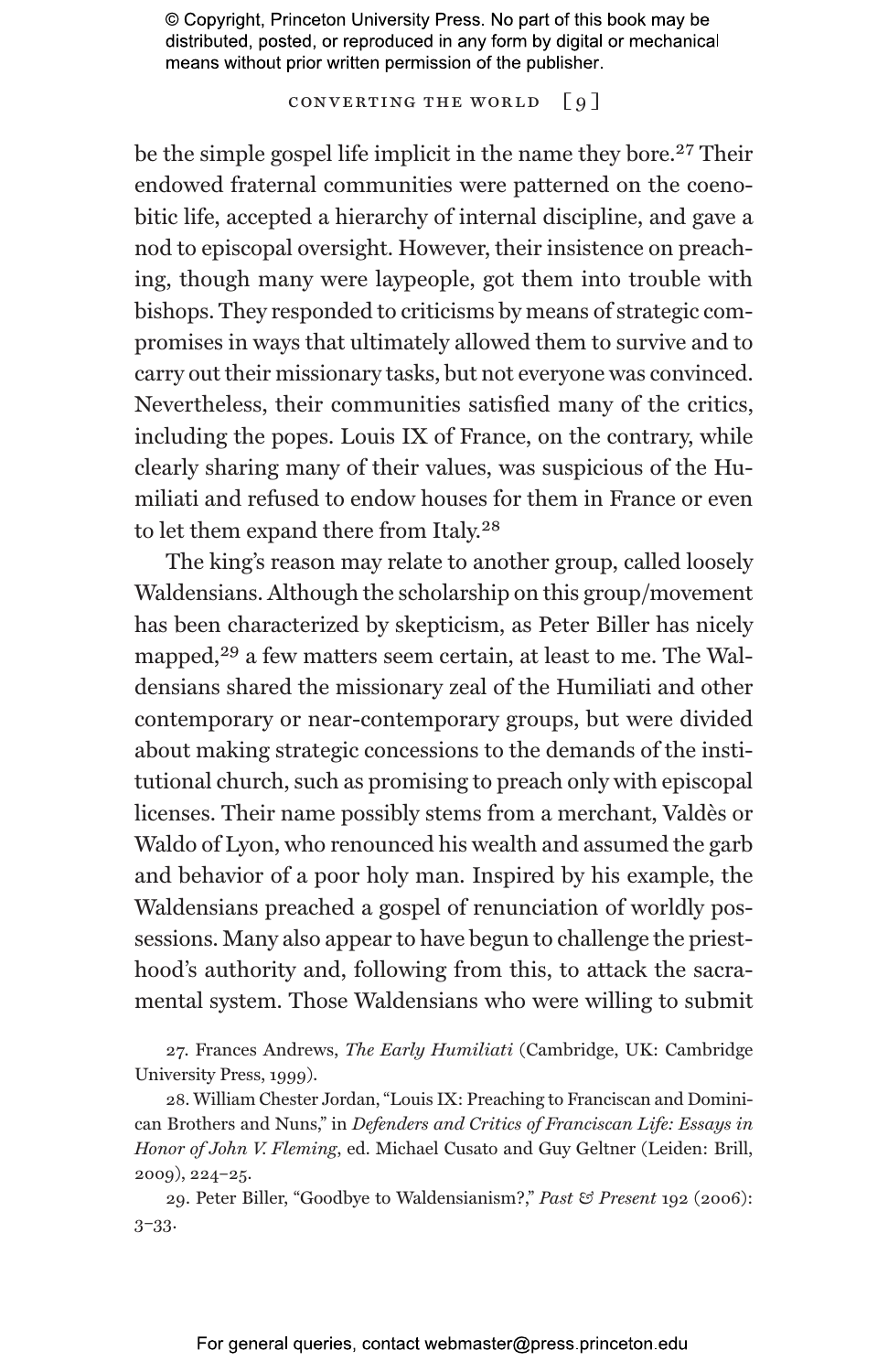CONVERTING THE WORLD  $\lceil 9 \rceil$ 

be the simple gospel life implicit in the name they bore.<sup>27</sup> Their endowed fraternal communities were patterned on the coenobitic life, accepted a hierarchy of internal discipline, and gave a nod to episcopal oversight. However, their insistence on preaching, though many were laypeople, got them into trouble with bishops. They responded to criticisms by means of strategic compromises in ways that ultimately allowed them to survive and to carry out their missionary tasks, but not everyone was convinced. Nevertheless, their communities satisfied many of the critics, including the popes. Louis IX of France, on the contrary, while clearly sharing many of their values, was suspicious of the Humiliati and refused to endow houses for them in France or even to let them expand there from Italy.28

The king's reason may relate to another group, called loosely Waldensians. Although the scholarship on this group/movement has been characterized by skepticism, as Peter Biller has nicely mapped,29 a few matters seem certain, at least to me. The Waldensians shared the missionary zeal of the Humiliati and other contemporary or near-contemporary groups, but were divided about making strategic concessions to the demands of the institutional church, such as promising to preach only with episcopal licenses. Their name possibly stems from a merchant, Valdès or Waldo of Lyon, who renounced his wealth and assumed the garb and behavior of a poor holy man. Inspired by his example, the Waldensians preached a gospel of renunciation of worldly possessions. Many also appear to have begun to challenge the priesthood's authority and, following from this, to attack the sacramental system. Those Waldensians who were willing to submit

27. Frances Andrews, *The Early Humiliati* (Cambridge, UK: Cambridge University Press, 1999).

28. William Chester Jordan, "Louis IX: Preaching to Franciscan and Dominican Brothers and Nuns," in *Defenders and Critics of Franciscan Life: Essays in Honor of John V. Fleming*, ed. Michael Cusato and Guy Geltner (Leiden: Brill, 2009), 224–25.

29. Peter Biller, "Goodbye to Waldensianism?," *Past & Present* 192 (2006): 3–33.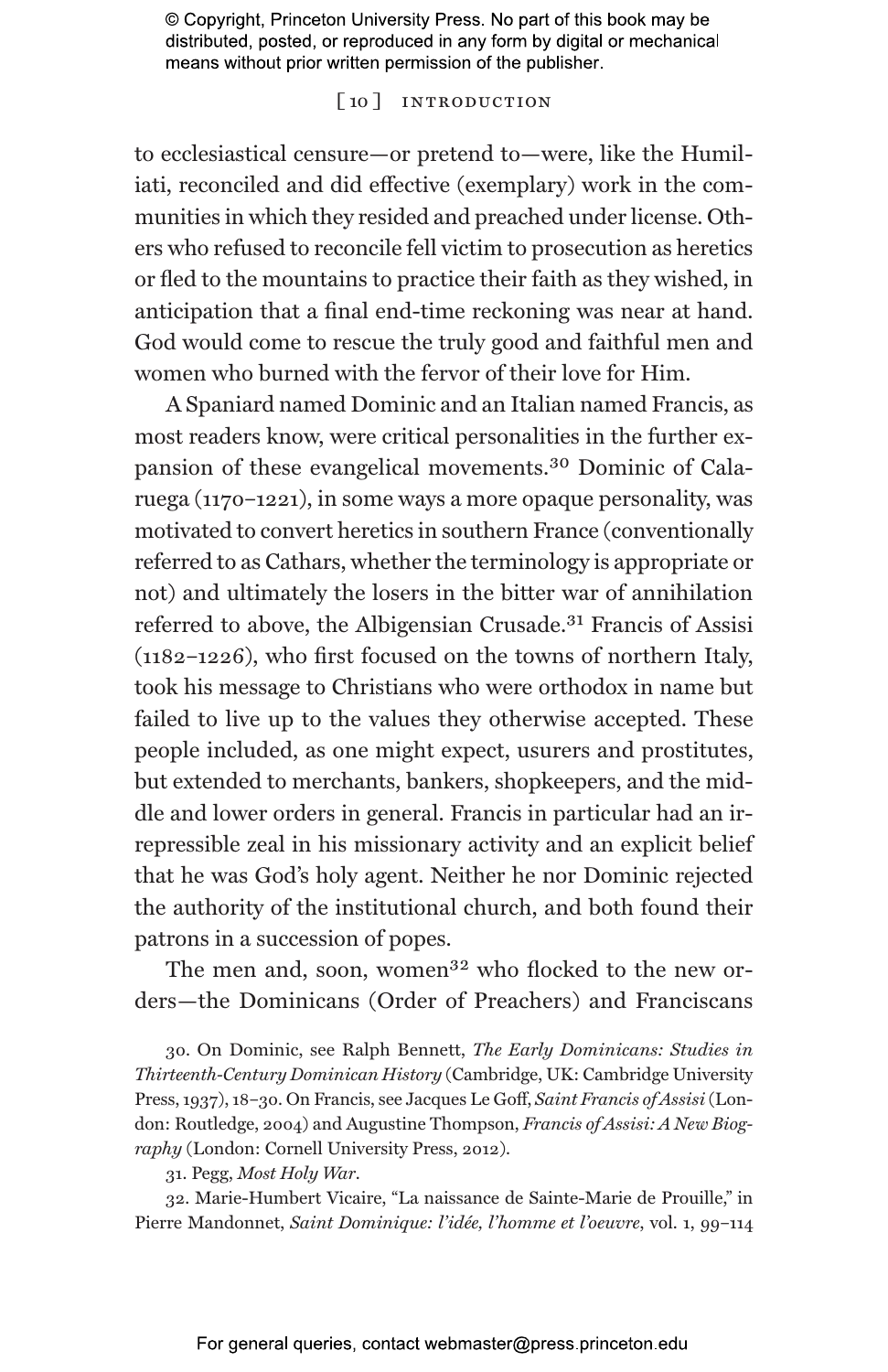#### [10<sup>]</sup> INTRODUCTION

to ecclesiastical censure—or pretend to—were, like the Humiliati, reconciled and did effective (exemplary) work in the communities in which they resided and preached under license. Others who refused to reconcile fell victim to prosecution as heretics or fled to the mountains to practice their faith as they wished, in anticipation that a final end-time reckoning was near at hand. God would come to rescue the truly good and faithful men and women who burned with the fervor of their love for Him.

A Spaniard named Dominic and an Italian named Francis, as most readers know, were critical personalities in the further expansion of these evangelical movements.30 Dominic of Calaruega (1170–1221), in some ways a more opaque personality, was motivated to convert heretics in southern France (conventionally referred to as Cathars, whether the terminology is appropriate or not) and ultimately the losers in the bitter war of annihilation referred to above, the Albigensian Crusade.31 Francis of Assisi (1182–1226), who first focused on the towns of northern Italy, took his message to Christians who were orthodox in name but failed to live up to the values they otherwise accepted. These people included, as one might expect, usurers and prostitutes, but extended to merchants, bankers, shopkeepers, and the middle and lower orders in general. Francis in particular had an irrepressible zeal in his missionary activity and an explicit belief that he was God's holy agent. Neither he nor Dominic rejected the authority of the institutional church, and both found their patrons in a succession of popes.

The men and, soon, women<sup>32</sup> who flocked to the new orders—the Dominicans (Order of Preachers) and Franciscans

30. On Dominic, see Ralph Bennett, *The Early Dominicans: Studies in Thirteenth-Century Dominican History* (Cambridge, UK: Cambridge University Press, 1937), 18–30. On Francis, see Jacques Le Goff, *Saint Francis of Assisi* (London: Routledge, 2004) and Augustine Thompson, *Francis of Assisi: A New Biography* (London: Cornell University Press, 2012).

31. Pegg, *Most Holy War*.

32. Marie-Humbert Vicaire, "La naissance de Sainte-Marie de Prouille," in Pierre Mandonnet, *Saint Dominique: l'idée, l'homme et l'oeuvre*, vol. 1, 99–114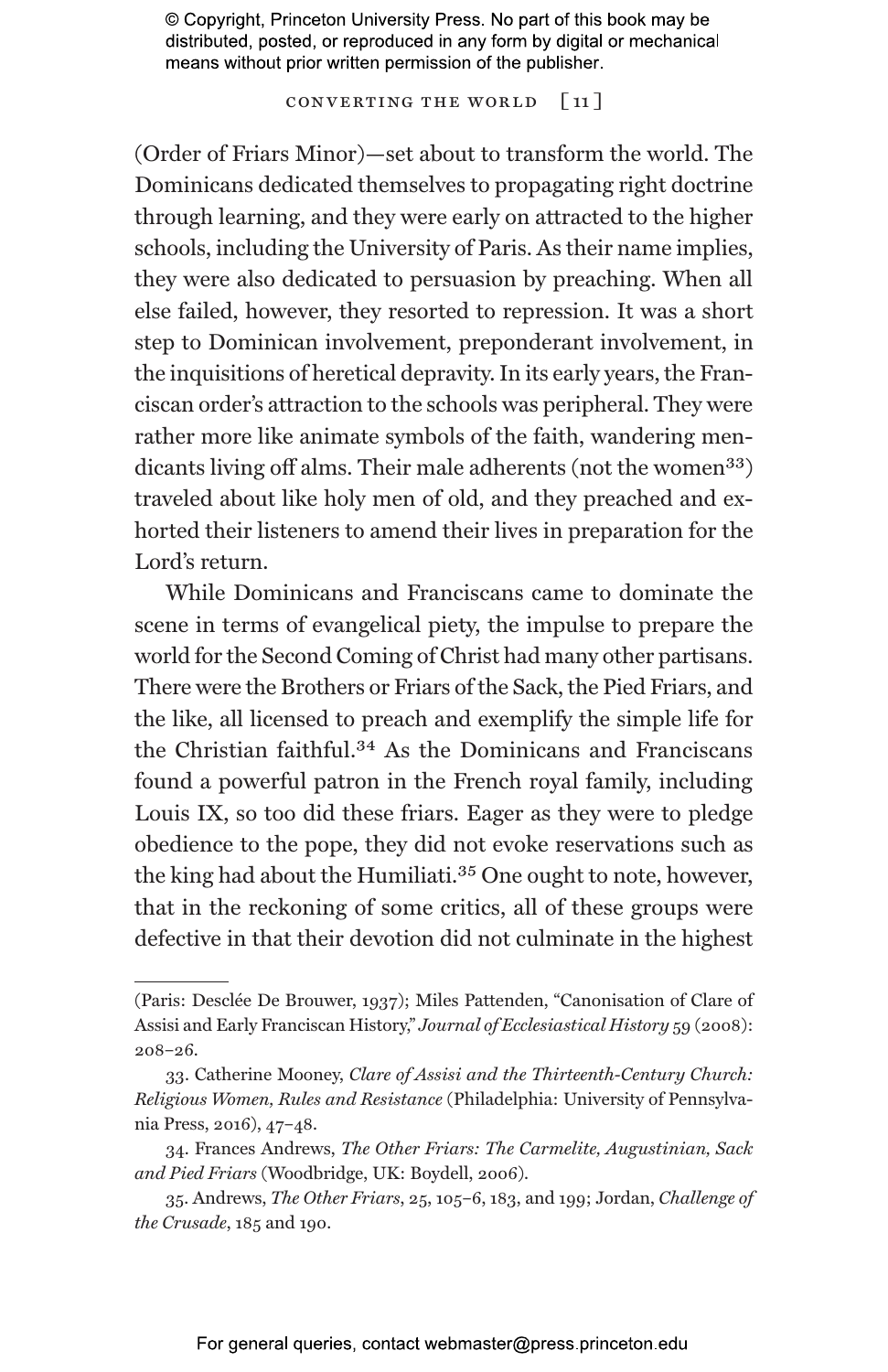CONVERTING THE WORLD [11]

(Order of Friars Minor)—set about to transform the world. The Dominicans dedicated themselves to propagating right doctrine through learning, and they were early on attracted to the higher schools, including the University of Paris. As their name implies, they were also dedicated to persuasion by preaching. When all else failed, however, they resorted to repression. It was a short step to Dominican involvement, preponderant involvement, in the inquisitions of heretical depravity. In its early years, the Franciscan order's attraction to the schools was peripheral. They were rather more like animate symbols of the faith, wandering mendicants living off alms. Their male adherents (not the women<sup>33</sup>) traveled about like holy men of old, and they preached and exhorted their listeners to amend their lives in preparation for the Lord's return.

While Dominicans and Franciscans came to dominate the scene in terms of evangelical piety, the impulse to prepare the world for the Second Coming of Christ had many other partisans. There were the Brothers or Friars of the Sack, the Pied Friars, and the like, all licensed to preach and exemplify the simple life for the Christian faithful.34 As the Dominicans and Franciscans found a powerful patron in the French royal family, including Louis IX, so too did these friars. Eager as they were to pledge obedience to the pope, they did not evoke reservations such as the king had about the Humiliati.35 One ought to note, however, that in the reckoning of some critics, all of these groups were defective in that their devotion did not culminate in the highest

<sup>(</sup>Paris: Desclée De Brouwer, 1937); Miles Pattenden, "Canonisation of Clare of Assisi and Early Franciscan History," *Journal of Ecclesiastical History* 59 (2008): 208–26.

<sup>33.</sup> Catherine Mooney, *Clare of Assisi and the Thirteenth-Century Church: Religious Women, Rules and Resistance* (Philadelphia: University of Pennsylvania Press, 2016), 47–48.

<sup>34.</sup> Frances Andrews, *The Other Friars: The Carmelite, Augustinian, Sack and Pied Friars* (Woodbridge, UK: Boydell, 2006).

<sup>35.</sup> Andrews, *The Other Friars*, 25, 105–6, 183, and 199; Jordan, *Challenge of the Crusade*, 185 and 190.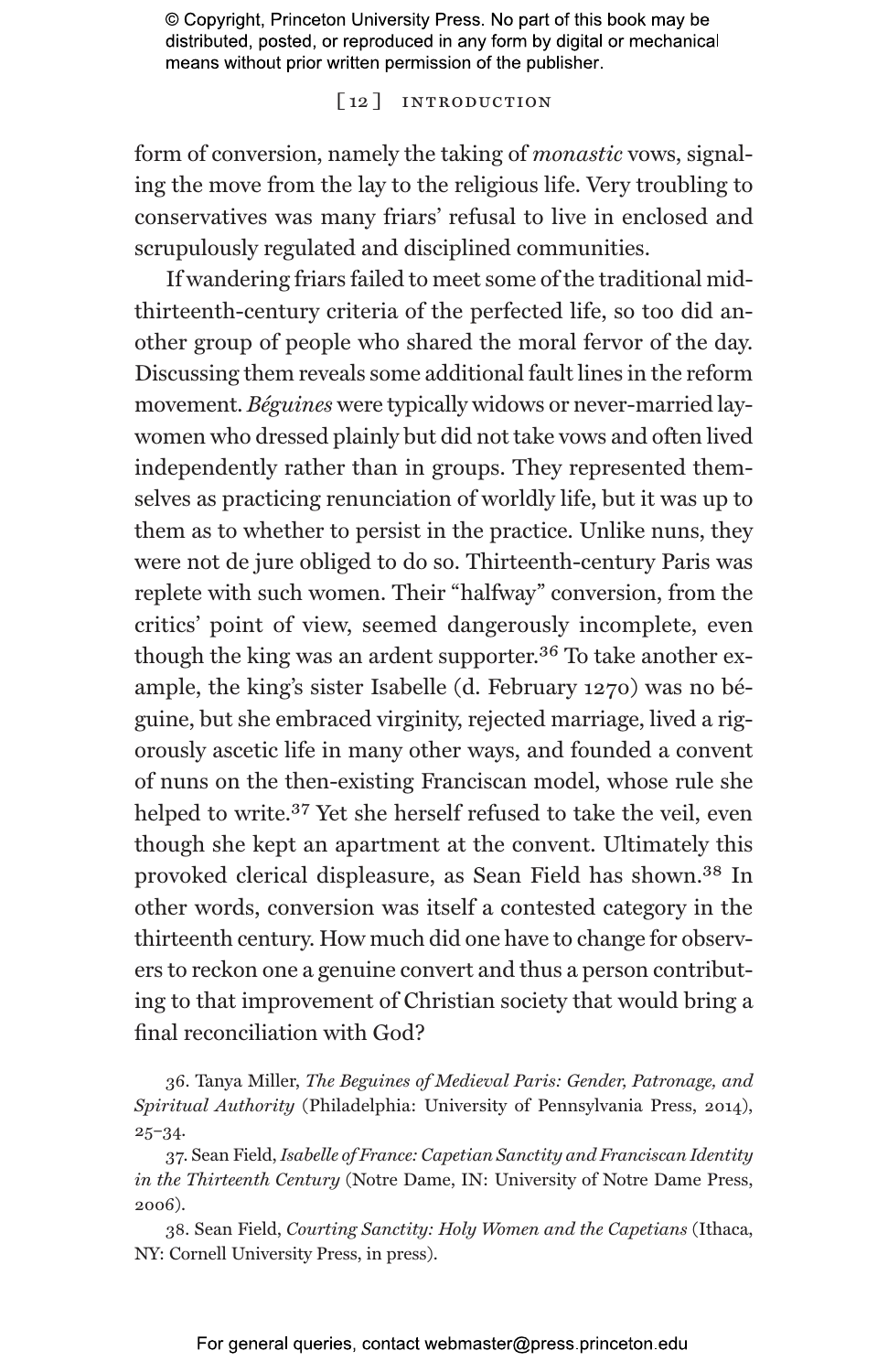[12<sup>]</sup> INTRODUCTION

form of conversion, namely the taking of *monastic* vows, signaling the move from the lay to the religious life. Very troubling to conservatives was many friars' refusal to live in enclosed and scrupulously regulated and disciplined communities.

If wandering friars failed to meet some of the traditional midthirteenth-century criteria of the perfected life, so too did another group of people who shared the moral fervor of the day. Discussing them reveals some additional fault lines in the reform movement. *Béguines* were typically widows or never-married laywomen who dressed plainly but did not take vows and often lived independently rather than in groups. They represented themselves as practicing renunciation of worldly life, but it was up to them as to whether to persist in the practice. Unlike nuns, they were not de jure obliged to do so. Thirteenth-century Paris was replete with such women. Their "halfway" conversion, from the critics' point of view, seemed dangerously incomplete, even though the king was an ardent supporter.<sup>36</sup> To take another example, the king's sister Isabelle (d. February 1270) was no béguine, but she embraced virginity, rejected marriage, lived a rigorously ascetic life in many other ways, and founded a convent of nuns on the then-existing Franciscan model, whose rule she helped to write.<sup>37</sup> Yet she herself refused to take the veil, even though she kept an apartment at the convent. Ultimately this provoked clerical displeasure, as Sean Field has shown.38 In other words, conversion was itself a contested category in the thirteenth century. How much did one have to change for observers to reckon one a genuine convert and thus a person contributing to that improvement of Christian society that would bring a final reconciliation with God?

36. Tanya Miller, *The Beguines of Medieval Paris: Gender, Patronage, and Spiritual Authority* (Philadelphia: University of Pennsylvania Press, 2014), 25–34.

37. Sean Field, *Isabelle of France: Capetian Sanctity and Franciscan Identity in the Thirteenth Century* (Notre Dame, IN: University of Notre Dame Press, 2006).

38. Sean Field, *Courting Sanctity: Holy Women and the Capetians* (Ithaca, NY: Cornell University Press, in press).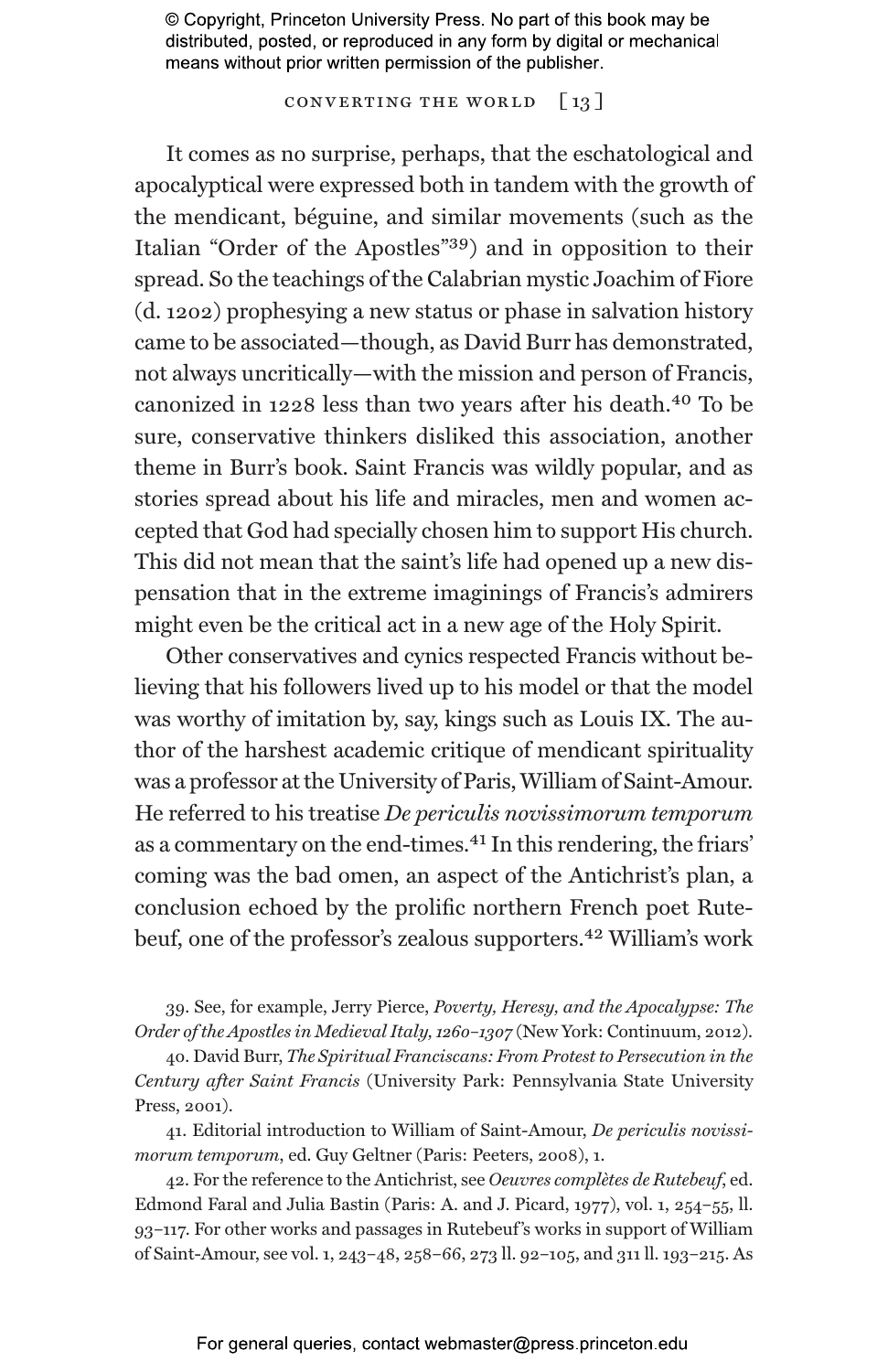CONVERTING THE WORLD  $\begin{bmatrix} 13 \end{bmatrix}$ 

It comes as no surprise, perhaps, that the eschatological and apocalyptical were expressed both in tandem with the growth of the mendicant, béguine, and similar movements (such as the Italian "Order of the Apostles"39) and in opposition to their spread. So the teachings of the Calabrian mystic Joachim of Fiore (d. 1202) prophesying a new status or phase in salvation history came to be associated—though, as David Burr has demonstrated, not always uncritically—with the mission and person of Francis, canonized in 1228 less than two years after his death.40 To be sure, conservative thinkers disliked this association, another theme in Burr's book. Saint Francis was wildly popular, and as stories spread about his life and miracles, men and women accepted that God had specially chosen him to support His church. This did not mean that the saint's life had opened up a new dispensation that in the extreme imaginings of Francis's admirers might even be the critical act in a new age of the Holy Spirit.

Other conservatives and cynics respected Francis without believing that his followers lived up to his model or that the model was worthy of imitation by, say, kings such as Louis IX. The author of the harshest academic critique of mendicant spirituality was a professor at the University of Paris, William of Saint-Amour. He referred to his treatise *De periculis novissimorum temporum* as a commentary on the end-times.41 In this rendering, the friars' coming was the bad omen, an aspect of the Antichrist's plan, a conclusion echoed by the prolific northern French poet Rutebeuf, one of the professor's zealous supporters.42 William's work

39. See, for example, Jerry Pierce, *Poverty, Heresy, and the Apocalypse: The Order of the Apostles in Medieval Italy, 1260–1307* (New York: Continuum, 2012).

40. David Burr, *The Spiritual Franciscans: From Protest to Persecution in the Century after Saint Francis* (University Park: Pennsylvania State University Press, 2001).

41. Editorial introduction to William of Saint-Amour, *De periculis novissimorum temporum*, ed. Guy Geltner (Paris: Peeters, 2008), 1.

42. For the reference to the Antichrist, see *Oeuvres complètes de Rutebeuf*, ed. Edmond Faral and Julia Bastin (Paris: A. and J. Picard, 1977), vol. 1, 254–55, ll. 93–117. For other works and passages in Rutebeuf's works in support of William of Saint-Amour, see vol. 1, 243–48, 258–66, 273 ll. 92–105, and 311 ll. 193–215. As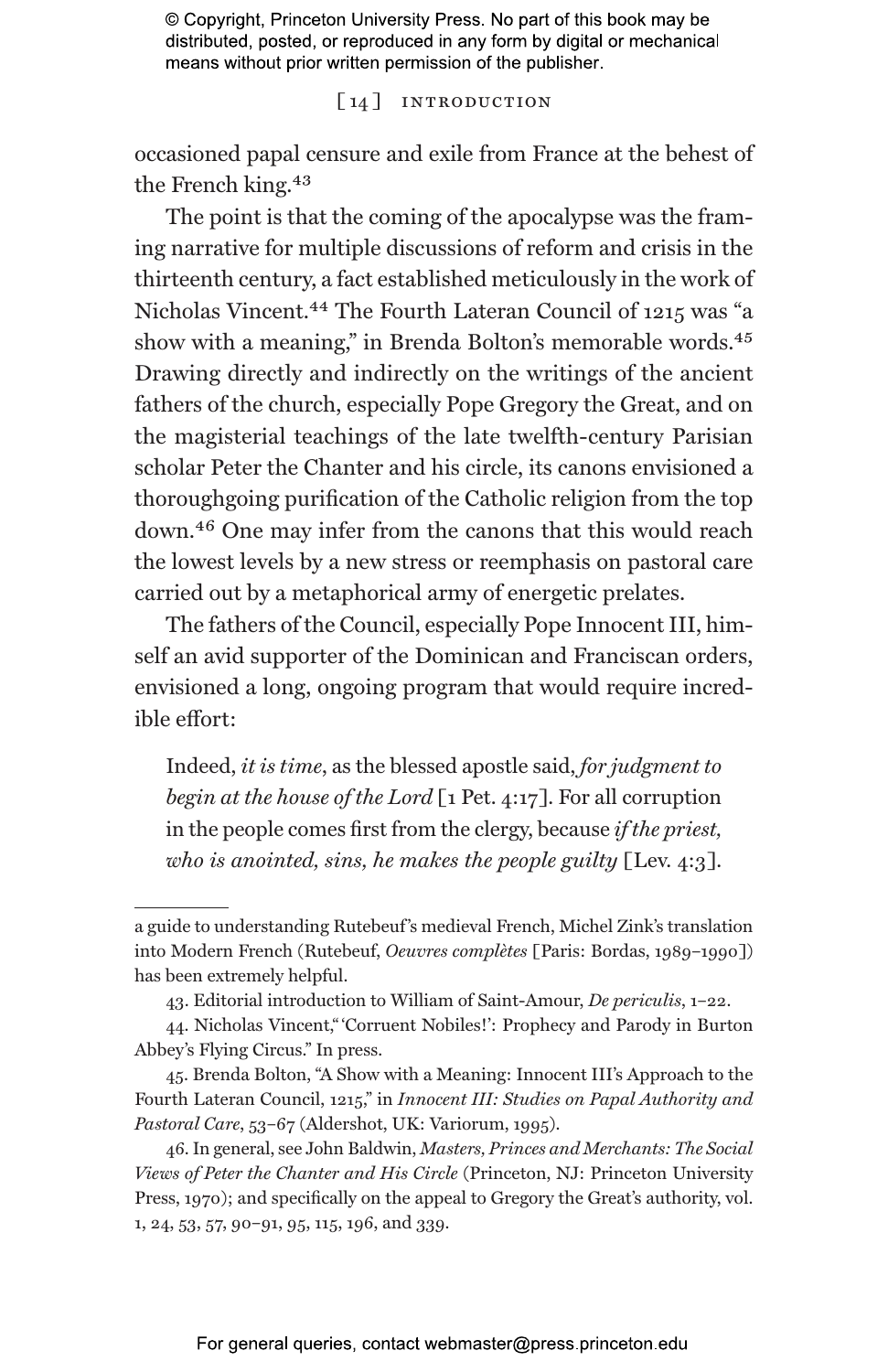[14<sup>]</sup> INTRODUCTION

occasioned papal censure and exile from France at the behest of the French king.43

The point is that the coming of the apocalypse was the framing narrative for multiple discussions of reform and crisis in the thirteenth century, a fact established meticulously in the work of Nicholas Vincent.44 The Fourth Lateran Council of 1215 was "a show with a meaning," in Brenda Bolton's memorable words.45 Drawing directly and indirectly on the writings of the ancient fathers of the church, especially Pope Gregory the Great, and on the magisterial teachings of the late twelfth-century Parisian scholar Peter the Chanter and his circle, its canons envisioned a thoroughgoing purification of the Catholic religion from the top down.46 One may infer from the canons that this would reach the lowest levels by a new stress or reemphasis on pastoral care carried out by a metaphorical army of energetic prelates.

The fathers of the Council, especially Pope Innocent III, himself an avid supporter of the Dominican and Franciscan orders, envisioned a long, ongoing program that would require incredible effort:

Indeed, *it is time*, as the blessed apostle said, *for judgment to begin at the house of the Lord* [1 Pet. 4:17]. For all corruption in the people comes first from the clergy, because *if the priest, who is anointed, sins, he makes the people guilty* [Lev. 4:3].

a guide to understanding Rutebeuf 's medieval French, Michel Zink's translation into Modern French (Rutebeuf, *Oeuvres complètes* [Paris: Bordas, 1989–1990]) has been extremely helpful.

<sup>43.</sup> Editorial introduction to William of Saint-Amour, *De periculis*, 1–22.

<sup>44.</sup> Nicholas Vincent," 'Corruent Nobiles!': Prophecy and Parody in Burton Abbey's Flying Circus." In press.

<sup>45.</sup> Brenda Bolton, "A Show with a Meaning: Innocent III's Approach to the Fourth Lateran Council, 1215," in *Innocent III: Studies on Papal Authority and Pastoral Care*, 53–67 (Aldershot, UK: Variorum, 1995).

<sup>46.</sup> In general, see John Baldwin, *Masters, Princes and Merchants: The Social Views of Peter the Chanter and His Circle* (Princeton, NJ: Princeton University Press, 1970); and specifically on the appeal to Gregory the Great's authority, vol. 1, 24, 53, 57, 90–91, 95, 115, 196, and 339.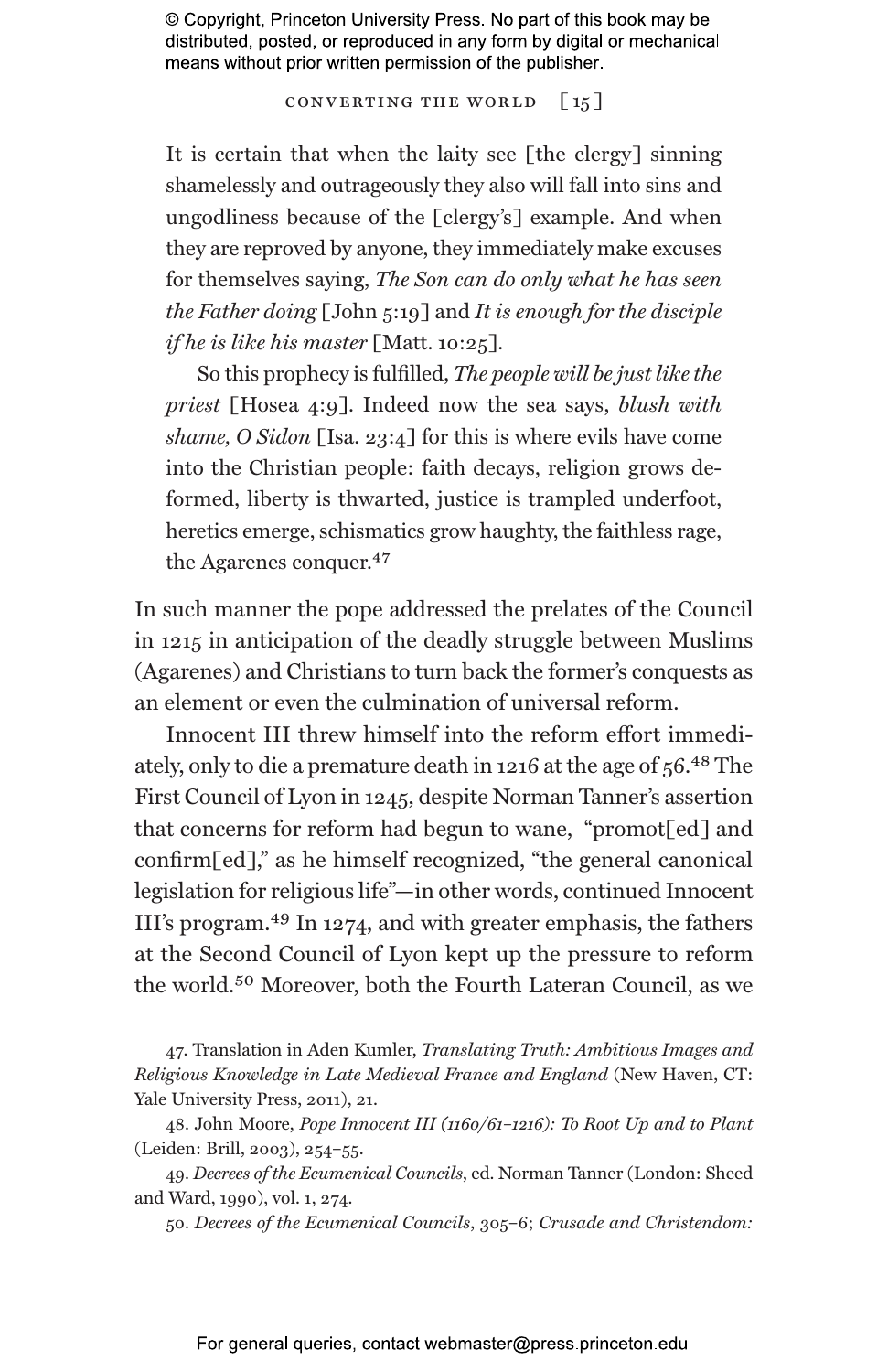CONVERTING THE WORLD  $\begin{bmatrix} 15 \end{bmatrix}$ 

It is certain that when the laity see [the clergy] sinning shamelessly and outrageously they also will fall into sins and ungodliness because of the [clergy's] example. And when they are reproved by anyone, they immediately make excuses for themselves saying, *The Son can do only what he has seen the Father doing* [John 5:19] and *It is enough for the disciple if he is like his master* [Matt. 10:25].

So this prophecy is fulfilled, *The people will be just like the priest* [Hosea 4:9]. Indeed now the sea says, *blush with shame, O Sidon* [Isa. 23:4] for this is where evils have come into the Christian people: faith decays, religion grows deformed, liberty is thwarted, justice is trampled underfoot, heretics emerge, schismatics grow haughty, the faithless rage, the Agarenes conquer.47

In such manner the pope addressed the prelates of the Council in 1215 in anticipation of the deadly struggle between Muslims (Agarenes) and Christians to turn back the former's conquests as an element or even the culmination of universal reform.

Innocent III threw himself into the reform effort immediately, only to die a premature death in 1216 at the age of 56.48 The First Council of Lyon in 1245, despite Norman Tanner's assertion that concerns for reform had begun to wane, "promot[ed] and confirm[ed]," as he himself recognized, "the general canonical legislation for religious life"—in other words, continued Innocent III's program.49 In 1274, and with greater emphasis, the fathers at the Second Council of Lyon kept up the pressure to reform the world.50 Moreover, both the Fourth Lateran Council, as we

47. Translation in Aden Kumler, *Translating Truth: Ambitious Images and Religious Knowledge in Late Medieval France and England* (New Haven, CT: Yale University Press, 2011), 21.

48. John Moore, *Pope Innocent III (1160/61–1216): To Root Up and to Plant* (Leiden: Brill, 2003), 254–55.

49. *Decrees of the Ecumenical Councils*, ed. Norman Tanner (London: Sheed and Ward, 1990), vol. 1, 274.

50. *Decrees of the Ecumenical Councils*, 305–6; *Crusade and Christendom:*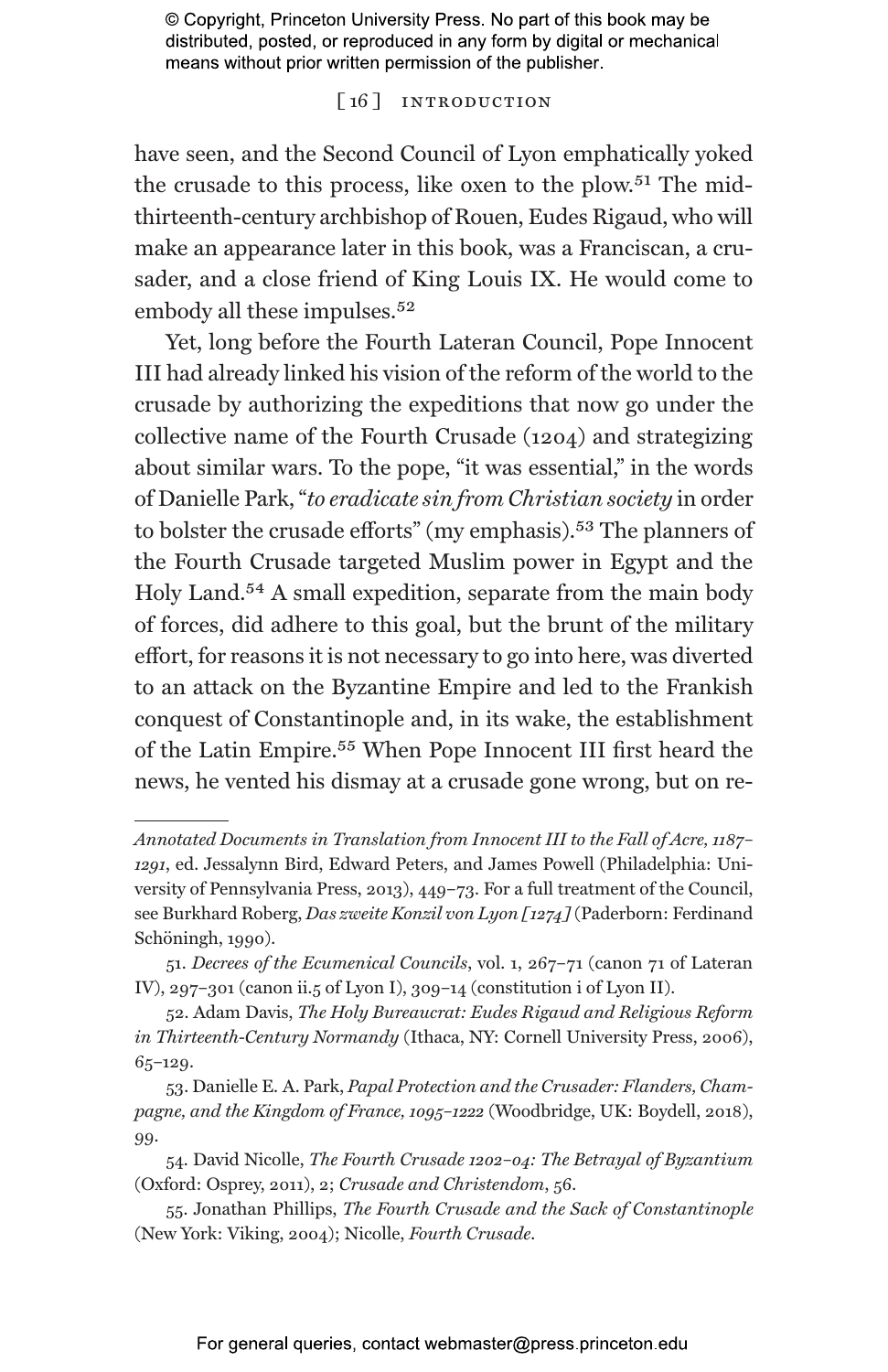[16] INTRODUCTION

have seen, and the Second Council of Lyon emphatically yoked the crusade to this process, like oxen to the plow.51 The midthirteenth-century archbishop of Rouen, Eudes Rigaud, who will make an appearance later in this book, was a Franciscan, a crusader, and a close friend of King Louis IX. He would come to embody all these impulses.<sup>52</sup>

Yet, long before the Fourth Lateran Council, Pope Innocent III had already linked his vision of the reform of the world to the crusade by authorizing the expeditions that now go under the collective name of the Fourth Crusade (1204) and strategizing about similar wars. To the pope, "it was essential," in the words of Danielle Park, "*to eradicate sin from Christian society* in order to bolster the crusade efforts" (my emphasis).53 The planners of the Fourth Crusade targeted Muslim power in Egypt and the Holy Land.54 A small expedition, separate from the main body of forces, did adhere to this goal, but the brunt of the military effort, for reasons it is not necessary to go into here, was diverted to an attack on the Byzantine Empire and led to the Frankish conquest of Constantinople and, in its wake, the establishment of the Latin Empire.55 When Pope Innocent III first heard the news, he vented his dismay at a crusade gone wrong, but on re-

*Annotated Documents in Translation from Innocent III to the Fall of Acre, 1187– 1291*, ed. Jessalynn Bird, Edward Peters, and James Powell (Philadelphia: University of Pennsylvania Press, 2013), 449–73. For a full treatment of the Council, see Burkhard Roberg, *Das zweite Konzil von Lyon [1274]* (Paderborn: Ferdinand Schöningh, 1990).

<sup>51.</sup> *Decrees of the Ecumenical Councils*, vol. 1, 267–71 (canon 71 of Lateran IV),  $297-301$  (canon ii.5 of Lyon I),  $309-14$  (constitution i of Lyon II).

<sup>52.</sup> Adam Davis, *The Holy Bureaucrat: Eudes Rigaud and Religious Reform in Thirteenth-Century Normandy* (Ithaca, NY: Cornell University Press, 2006), 65–129.

<sup>53.</sup> Danielle E. A. Park, *Papal Protection and the Crusader: Flanders, Champagne, and the Kingdom of France, 1095–1222* (Woodbridge, UK: Boydell, 2018), 99.

<sup>54.</sup> David Nicolle, *The Fourth Crusade 1202–04: The Betrayal of Byzantium* (Oxford: Osprey, 2011), 2; *Crusade and Christendom*, 56.

<sup>55.</sup> Jonathan Phillips, *The Fourth Crusade and the Sack of Constantinople* (New York: Viking, 2004); Nicolle, *Fourth Crusade*.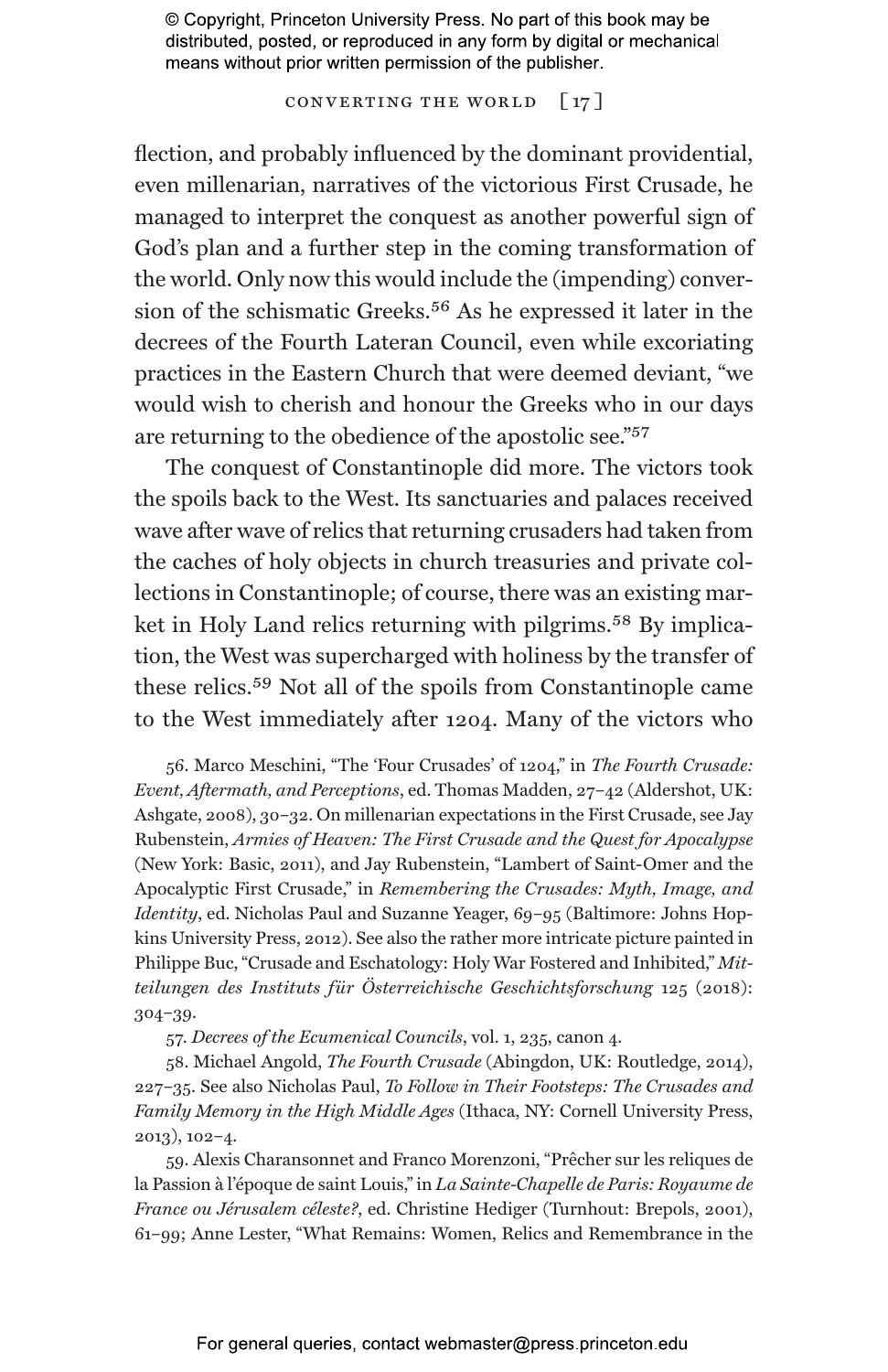CONVERTING THE WORLD  $\lceil 17 \rceil$ 

flection, and probably influenced by the dominant providential, even millenarian, narratives of the victorious First Crusade, he managed to interpret the conquest as another powerful sign of God's plan and a further step in the coming transformation of the world. Only now this would include the (impending) conversion of the schismatic Greeks.56 As he expressed it later in the decrees of the Fourth Lateran Council, even while excoriating practices in the Eastern Church that were deemed deviant, "we would wish to cherish and honour the Greeks who in our days are returning to the obedience of the apostolic see."57

The conquest of Constantinople did more. The victors took the spoils back to the West. Its sanctuaries and palaces received wave after wave of relics that returning crusaders had taken from the caches of holy objects in church treasuries and private collections in Constantinople; of course, there was an existing market in Holy Land relics returning with pilgrims.<sup>58</sup> By implication, the West was supercharged with holiness by the transfer of these relics.59 Not all of the spoils from Constantinople came to the West immediately after 1204. Many of the victors who

56. Marco Meschini, "The 'Four Crusades' of 1204," in *The Fourth Crusade: Event, Aftermath, and Perceptions*, ed. Thomas Madden, 27–42 (Aldershot, UK: Ashgate, 2008), 30–32. On millenarian expectations in the First Crusade, see Jay Rubenstein, *Armies of Heaven: The First Crusade and the Quest for Apocalypse* (New York: Basic, 2011), and Jay Rubenstein, "Lambert of Saint-Omer and the Apocalyptic First Crusade," in *Remembering the Crusades: Myth, Image, and Identity*, ed. Nicholas Paul and Suzanne Yeager, 69–95 (Baltimore: Johns Hopkins University Press, 2012). See also the rather more intricate picture painted in Philippe Buc, "Crusade and Eschatology: Holy War Fostered and Inhibited," *Mitteilungen des Instituts für Österreichische Geschichtsforschung* 125 (2018): 304–39.

57. *Decrees of the Ecumenical Councils*, vol. 1, 235, canon 4.

58. Michael Angold, *The Fourth Crusade* (Abingdon, UK: Routledge, 2014), 227–35. See also Nicholas Paul, *To Follow in Their Footsteps: The Crusades and Family Memory in the High Middle Ages* (Ithaca, NY: Cornell University Press, 2013), 102–4.

59. Alexis Charansonnet and Franco Morenzoni, "Prêcher sur les reliques de la Passion à l'époque de saint Louis," in *La Sainte-Chapelle de Paris: Royaume de France ou Jérusalem céleste?*, ed. Christine Hediger (Turnhout: Brepols, 2001), 61–99; Anne Lester, "What Remains: Women, Relics and Remembrance in the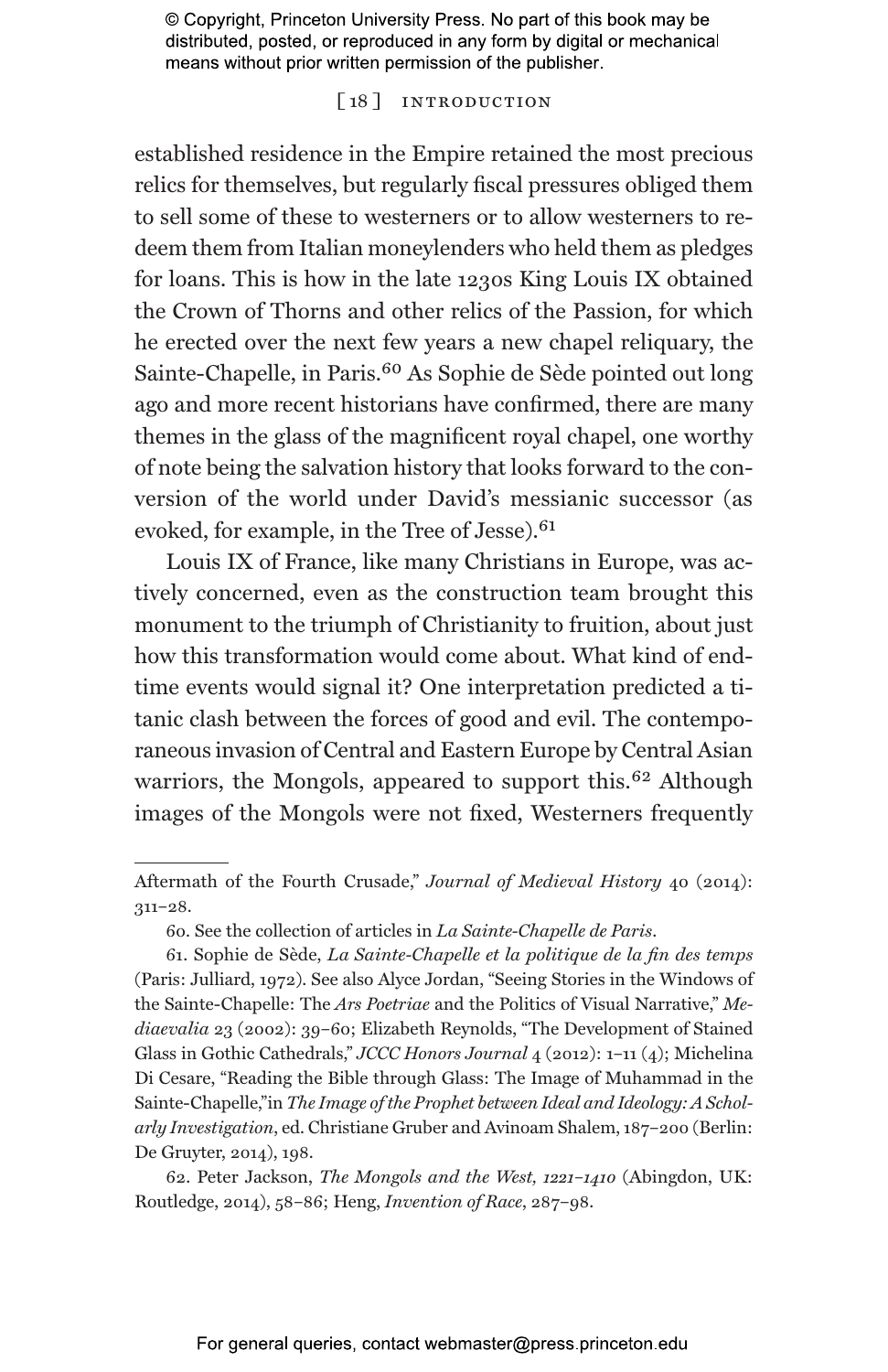### [18<sup>]</sup> INTRODUCTION

established residence in the Empire retained the most precious relics for themselves, but regularly fiscal pressures obliged them to sell some of these to westerners or to allow westerners to redeem them from Italian moneylenders who held them as pledges for loans. This is how in the late 1230s King Louis IX obtained the Crown of Thorns and other relics of the Passion, for which he erected over the next few years a new chapel reliquary, the Sainte-Chapelle, in Paris.<sup>60</sup> As Sophie de Sède pointed out long ago and more recent historians have confirmed, there are many themes in the glass of the magnificent royal chapel, one worthy of note being the salvation history that looks forward to the conversion of the world under David's messianic successor (as evoked, for example, in the Tree of Jesse).<sup>61</sup>

Louis IX of France, like many Christians in Europe, was actively concerned, even as the construction team brought this monument to the triumph of Christianity to fruition, about just how this transformation would come about. What kind of endtime events would signal it? One interpretation predicted a titanic clash between the forces of good and evil. The contemporaneous invasion of Central and Eastern Europe by Central Asian warriors, the Mongols, appeared to support this.<sup>62</sup> Although images of the Mongols were not fixed, Westerners frequently

Aftermath of the Fourth Crusade," *Journal of Medieval History* 40 (2014): 311–28.

<sup>60.</sup> See the collection of articles in *La Sainte-Chapelle de Paris*.

<sup>61.</sup> Sophie de Sède, *La Sainte-Chapelle et la politique de la fin des temps* (Paris: Julliard, 1972). See also Alyce Jordan, "Seeing Stories in the Windows of the Sainte-Chapelle: The *Ars Poetriae* and the Politics of Visual Narrative," *Mediaevalia* 23 (2002): 39–60; Elizabeth Reynolds, "The Development of Stained Glass in Gothic Cathedrals," *JCCC Honors Journal* 4 (2012): 1–11 (4); Michelina Di Cesare, "Reading the Bible through Glass: The Image of Muhammad in the Sainte-Chapelle,"in *The Image of the Prophet between Ideal and Ideology: A Scholarly Investigation*, ed. Christiane Gruber and Avinoam Shalem, 187–200 (Berlin: De Gruyter, 2014), 198.

<sup>62.</sup> Peter Jackson, *The Mongols and the West, 1221–1410* (Abingdon, UK: Routledge, 2014), 58–86; Heng, *Invention of Race*, 287–98.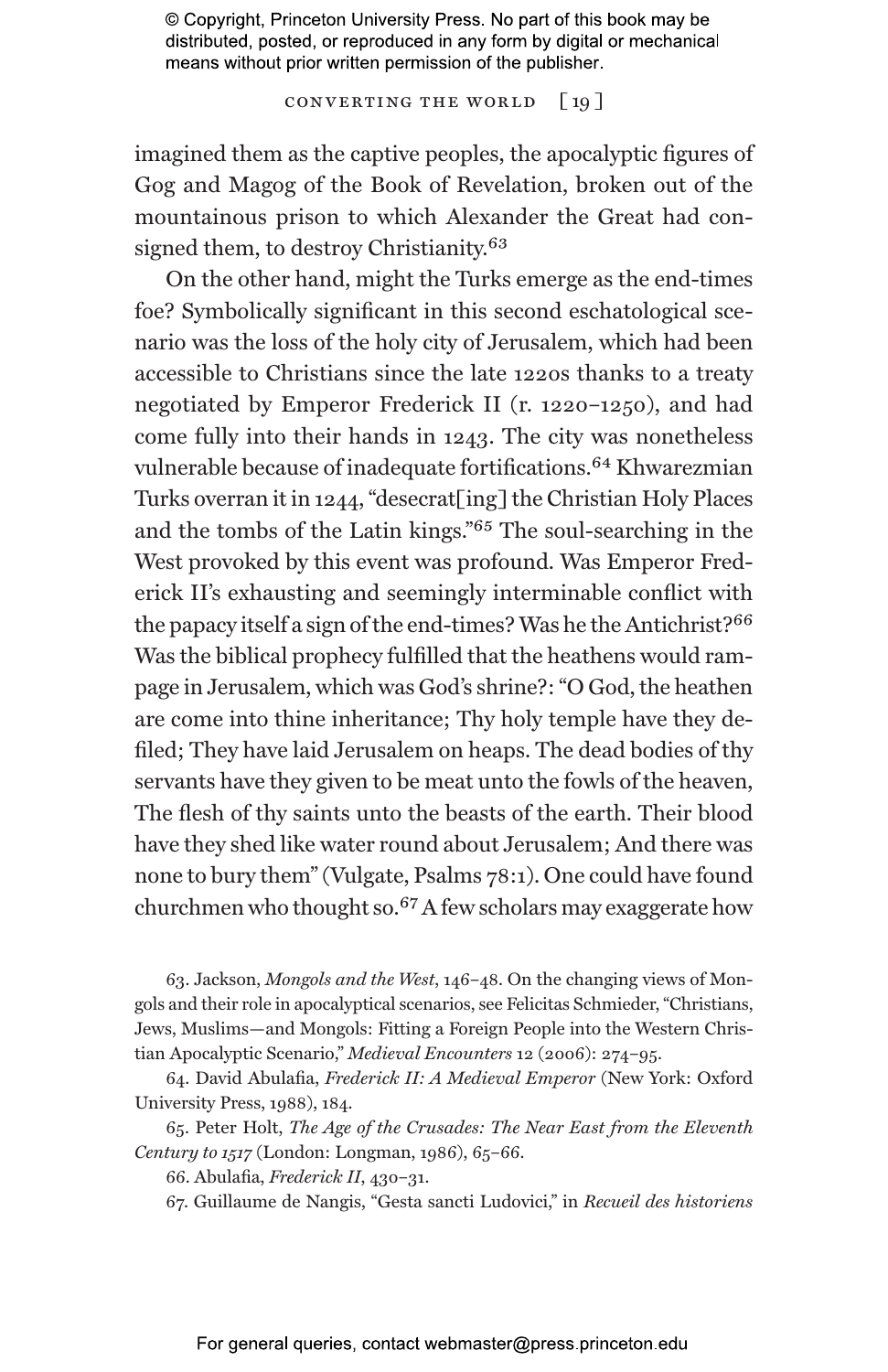CONVERTING THE WORLD  $\begin{bmatrix} 19 \end{bmatrix}$ 

imagined them as the captive peoples, the apocalyptic figures of Gog and Magog of the Book of Revelation, broken out of the mountainous prison to which Alexander the Great had consigned them, to destroy Christianity.<sup>63</sup>

On the other hand, might the Turks emerge as the end-times foe? Symbolically significant in this second eschatological scenario was the loss of the holy city of Jerusalem, which had been accessible to Christians since the late 1220s thanks to a treaty negotiated by Emperor Frederick II (r. 1220–1250), and had come fully into their hands in 1243. The city was nonetheless vulnerable because of inadequate fortifications.64 Khwarezmian Turks overran it in 1244, "desecrat[ing] the Christian Holy Places and the tombs of the Latin kings."65 The soul-searching in the West provoked by this event was profound. Was Emperor Frederick II's exhausting and seemingly interminable conflict with the papacy itself a sign of the end-times? Was he the Antichrist?66 Was the biblical prophecy fulfilled that the heathens would rampage in Jerusalem, which was God's shrine?: "O God, the heathen are come into thine inheritance; Thy holy temple have they defiled; They have laid Jerusalem on heaps. The dead bodies of thy servants have they given to be meat unto the fowls of the heaven, The flesh of thy saints unto the beasts of the earth. Their blood have they shed like water round about Jerusalem; And there was none to bury them" (Vulgate, Psalms 78:1). One could have found churchmen who thought so.67 A few scholars may exaggerate how

63. Jackson, *Mongols and the West*, 146–48. On the changing views of Mongols and their role in apocalyptical scenarios, see Felicitas Schmieder, "Christians, Jews, Muslims—and Mongols: Fitting a Foreign People into the Western Christian Apocalyptic Scenario," *Medieval Encounters* 12 (2006): 274–95.

64. David Abulafia, *Frederick II: A Medieval Emperor* (New York: Oxford University Press, 1988), 184.

65. Peter Holt, *The Age of the Crusades: The Near East from the Eleventh Century to 1517* (London: Longman, 1986), 65–66.

66. Abulafia, *Frederick II*, 430–31.

67. Guillaume de Nangis, "Gesta sancti Ludovici," in *Recueil des historiens*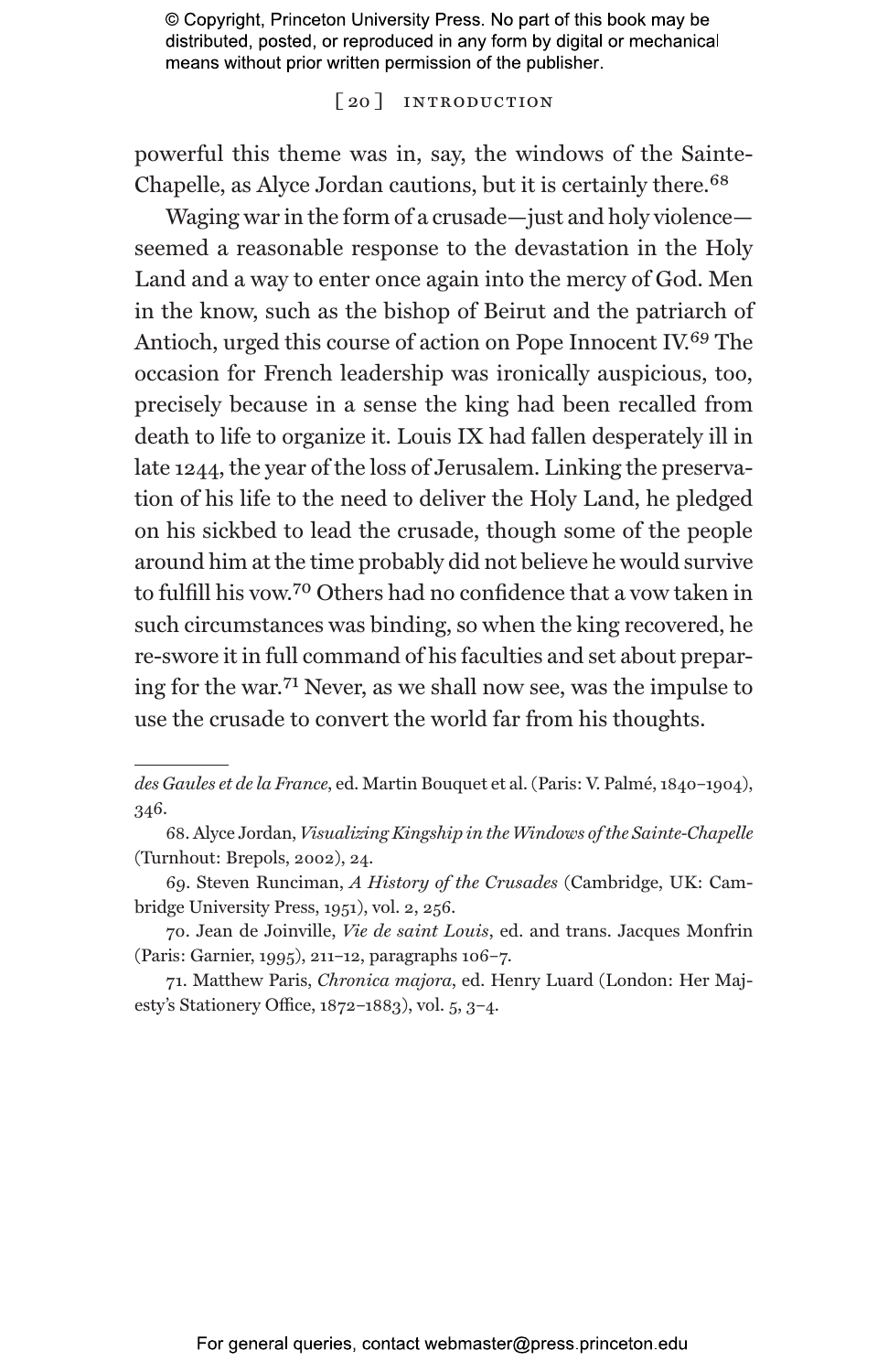#### [20<sup>]</sup> INTRODUCTION

powerful this theme was in, say, the windows of the Sainte-Chapelle, as Alyce Jordan cautions, but it is certainly there.68

Waging war in the form of a crusade—just and holy violence seemed a reasonable response to the devastation in the Holy Land and a way to enter once again into the mercy of God. Men in the know, such as the bishop of Beirut and the patriarch of Antioch, urged this course of action on Pope Innocent IV.69 The occasion for French leadership was ironically auspicious, too, precisely because in a sense the king had been recalled from death to life to organize it. Louis IX had fallen desperately ill in late 1244, the year of the loss of Jerusalem. Linking the preservation of his life to the need to deliver the Holy Land, he pledged on his sickbed to lead the crusade, though some of the people around him at the time probably did not believe he would survive to fulfill his vow.70 Others had no confidence that a vow taken in such circumstances was binding, so when the king recovered, he re-swore it in full command of his faculties and set about preparing for the war.71 Never, as we shall now see, was the impulse to use the crusade to convert the world far from his thoughts.

*des Gaules et de la France*, ed. Martin Bouquet et al. (Paris: V. Palmé, 1840–1904), 346.

<sup>68.</sup> Alyce Jordan, *Visualizing Kingship in the Windows of the Sainte-Chapelle* (Turnhout: Brepols, 2002), 24.

<sup>69.</sup> Steven Runciman, *A History of the Crusades* (Cambridge, UK: Cambridge University Press, 1951), vol. 2, 256.

<sup>70.</sup> Jean de Joinville, *Vie de saint Louis*, ed. and trans. Jacques Monfrin (Paris: Garnier, 1995), 211–12, paragraphs 106–7.

<sup>71.</sup> Matthew Paris, *Chronica majora*, ed. Henry Luard (London: Her Majesty's Stationery Office, 1872–1883), vol. 5, 3–4.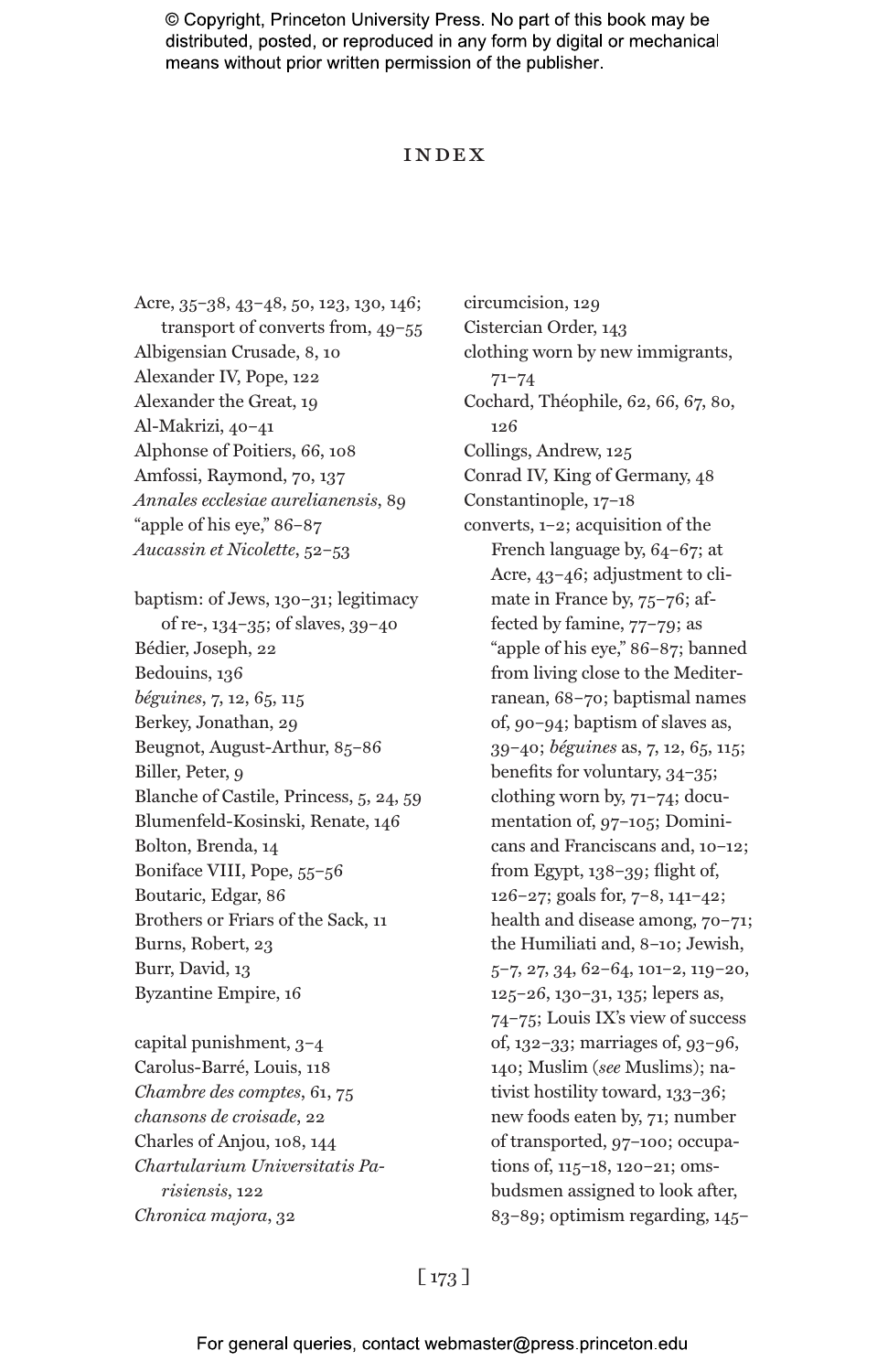#### **INDEX**

Acre, 35–38, 43–48, 50, 123, 130, 146; transport of converts from, 49–55 Albigensian Crusade, 8, 10 Alexander IV, Pope, 122 Alexander the Great, 19 Al-Makrizi, 40–41 Alphonse of Poitiers, 66, 108 Amfossi, Raymond, 70, 137 *Annales ecclesiae aurelianensis*, 89 "apple of his eye," 86–87 *Aucassin et Nicolette*, 52–53 baptism: of Jews, 130–31; legitimacy of re-, 134–35; of slaves, 39–40 Bédier, Joseph, 22 Bedouins, 136 *béguines*, 7, 12, 65, 115 Berkey, Jonathan, 29 Beugnot, August-Arthur, 85–86 Biller, Peter, 9 Blanche of Castile, Princess, 5, 24, 59 Blumenfeld-Kosinski, Renate, 146 Bolton, Brenda, 14 Boniface VIII, Pope, 55–56 Boutaric, Edgar, 86 Brothers or Friars of the Sack, 11 Burns, Robert, 23 Burr, David, 13 Byzantine Empire, 16

capital punishment, 3–4 Carolus-Barré, Louis, 118 *Chambre des comptes*, 61, 75 *chansons de croisade*, 22 Charles of Anjou, 108, 144 *Chartularium Universitatis Parisiensis*, 122 *Chronica majora*, 32

circumcision, 129 Cistercian Order, 143 clothing worn by new immigrants, 71–74 Cochard, Théophile, 62, 66, 67, 80, 126 Collings, Andrew, 125 Conrad IV, King of Germany, 48 Constantinople, 17–18 converts, 1–2; acquisition of the French language by, 64–67; at Acre, 43–46; adjustment to climate in France by, 75–76; affected by famine, 77–79; as "apple of his eye," 86–87; banned from living close to the Mediterranean, 68–70; baptismal names of, 90–94; baptism of slaves as, 39–40; *béguines* as, 7, 12, 65, 115; benefits for voluntary, 34–35; clothing worn by, 71–74; documentation of, 97–105; Dominicans and Franciscans and, 10–12; from Egypt, 138–39; flight of, 126–27; goals for, 7–8, 141–42; health and disease among, 70–71; the Humiliati and, 8–10; Jewish, 5–7, 27, 34, 62–64, 101–2, 119–20, 125–26, 130–31, 135; lepers as, 74–75; Louis IX's view of success of, 132–33; marriages of, 93–96, 140; Muslim (*see* Muslims); nativist hostility toward, 133–36; new foods eaten by, 71; number of transported, 97–100; occupations of, 115-18, 120-21; omsbudsmen assigned to look after, 83–89; optimism regarding, 145–

[ 173 ]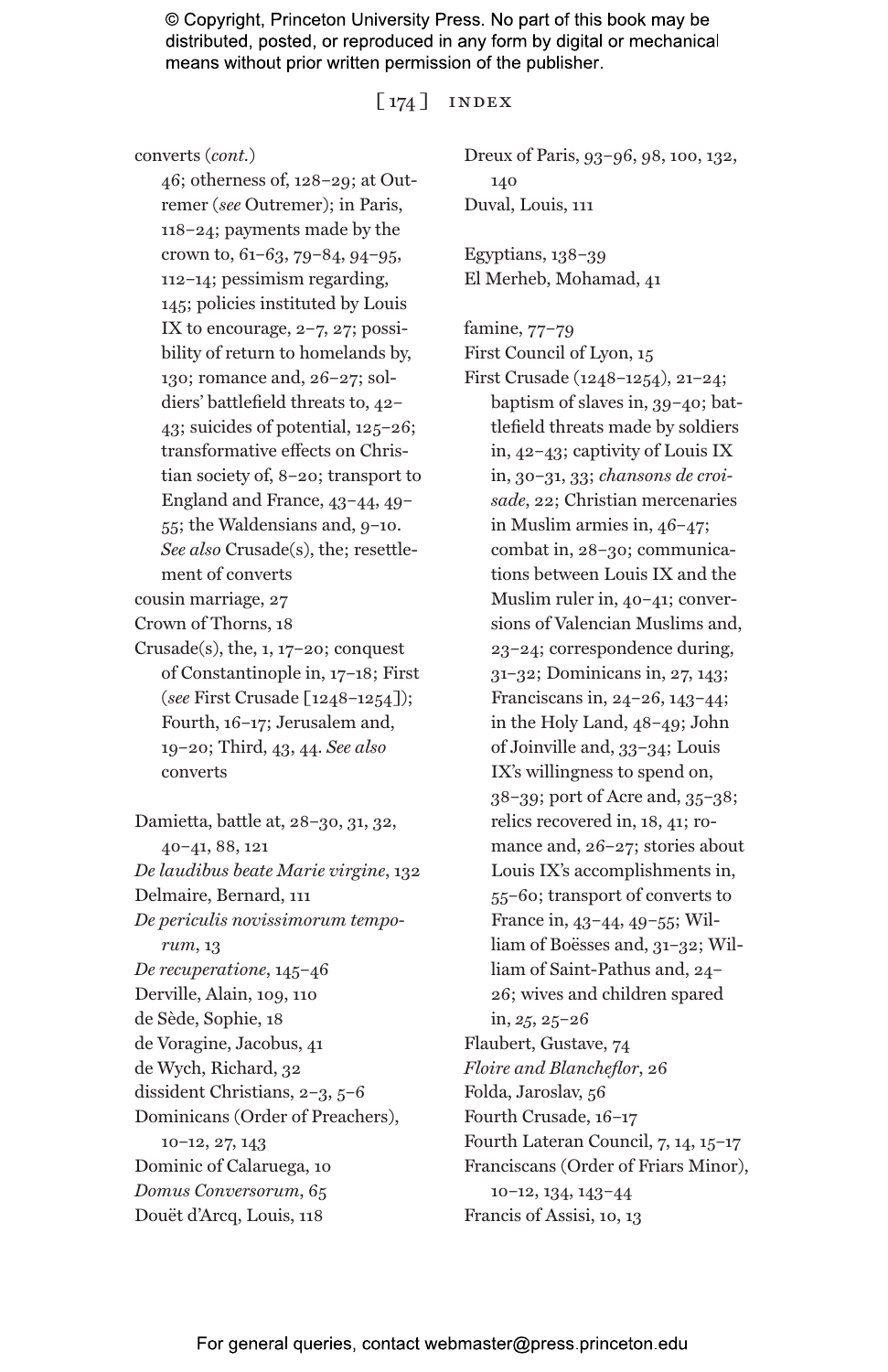# [ 174 ] Index

converts (*cont.*)

46; otherness of, 128–29; at Outremer (*see* Outremer); in Paris, 118–24; payments made by the crown to, 61–63, 79–84, 94–95, 112–14; pessimism regarding, 145; policies instituted by Louis IX to encourage, 2–7, 27; possibility of return to homelands by, 130; romance and, 26–27; soldiers' battlefield threats to, 42– 43; suicides of potential, 125–26; transformative effects on Christian society of, 8–20; transport to England and France, 43–44, 49– 55; the Waldensians and, 9–10. *See also* Crusade(s), the; resettlement of converts

- cousin marriage, 27
- Crown of Thorns, 18
- Crusade(s), the,  $1, 17-20$ ; conquest of Constantinople in, 17–18; First (*see* First Crusade [1248–1254]); Fourth, 16–17; Jerusalem and, 19–20; Third, 43, 44. *See also* converts

Damietta, battle at, 28–30, 31, 32, 40–41, 88, 121 *De laudibus beate Marie virgine*, 132 Delmaire, Bernard, 111 *De periculis novissimorum temporum*, 13 *De recuperatione*, 145–46 Derville, Alain, 109, 110 de Sède, Sophie, 18 de Voragine, Jacobus, 41 de Wych, Richard, 32 dissident Christians, 2–3, 5–6 Dominicans (Order of Preachers), 10–12, 27, 143 Dominic of Calaruega, 10 *Domus Conversorum*, 65 Douët d'Arcq, Louis, 118

Dreux of Paris, 93–96, 98, 100, 132, 140 Duval, Louis, 111

Egyptians, 138–39 El Merheb, Mohamad, 41

famine, 77–79

First Council of Lyon, 15 First Crusade (1248–1254), 21–24; baptism of slaves in, 39–40; battlefield threats made by soldiers in, 42–43; captivity of Louis IX in, 30–31, 33; *chansons de croisade*, 22; Christian mercenaries in Muslim armies in, 46–47; combat in, 28–30; communications between Louis IX and the Muslim ruler in, 40–41; conversions of Valencian Muslims and, 23–24; correspondence during, 31–32; Dominicans in, 27, 143; Franciscans in, 24–26, 143–44; in the Holy Land, 48–49; John of Joinville and, 33–34; Louis IX's willingness to spend on, 38–39; port of Acre and, 35–38; relics recovered in, 18, 41; romance and, 26–27; stories about Louis IX's accomplishments in, 55–60; transport of converts to France in, 43–44, 49–55; William of Boësses and, 31–32; William of Saint-Pathus and, 24– 26; wives and children spared in, *25*, 25–26 Flaubert, Gustave, 74 *Floire and Blancheflor*, 26 Folda, Jaroslav, 56 Fourth Crusade, 16–17 Fourth Lateran Council, 7, 14, 15–17 Franciscans (Order of Friars Minor), 10–12, 134, 143–44 Francis of Assisi, 10, 13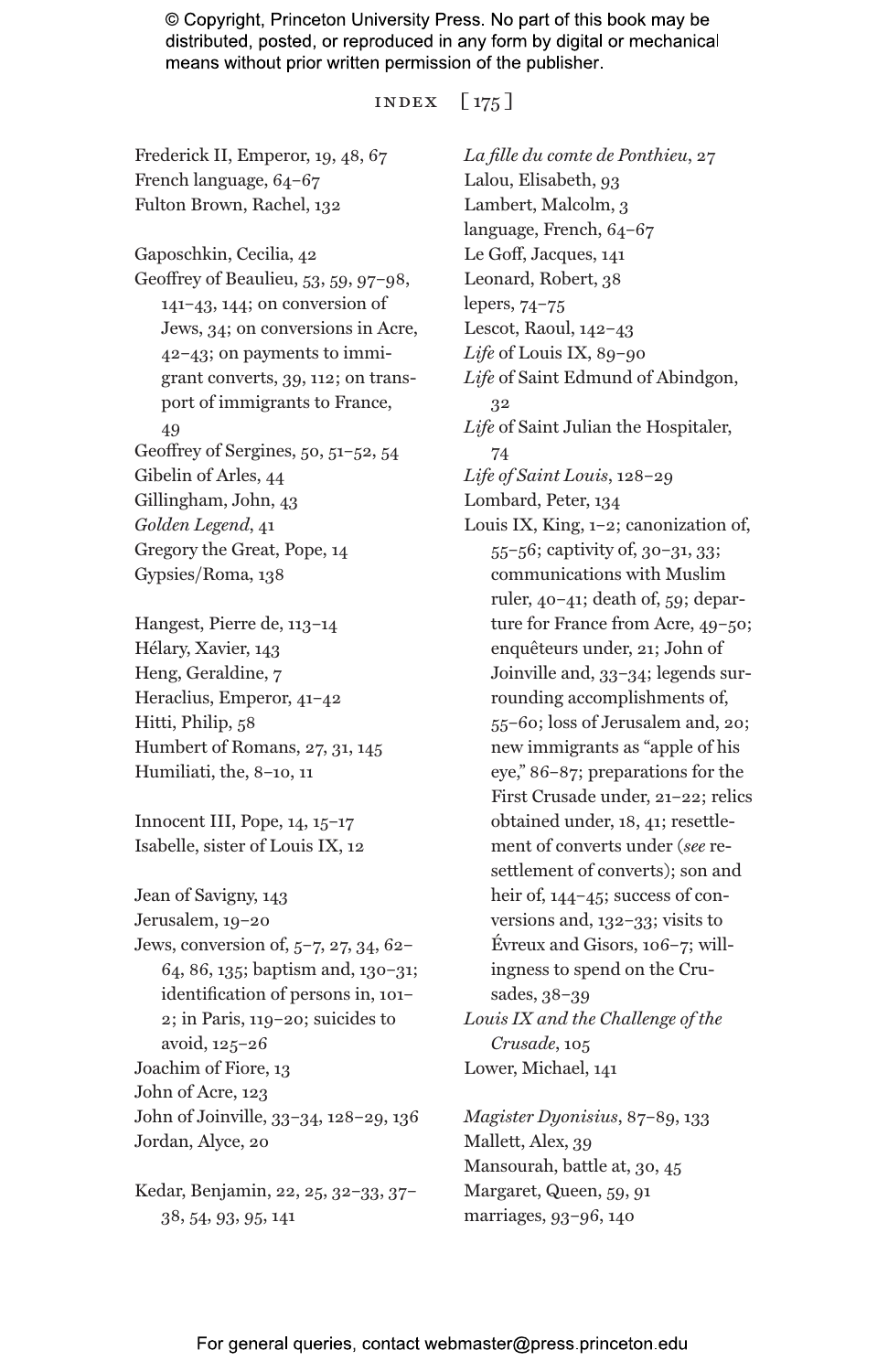Index [ 175 ]

Frederick II, Emperor, 19, 48, 67 French language, 64–67 Fulton Brown, Rachel, 132

Gaposchkin, Cecilia, 42 Geoffrey of Beaulieu, 53, 59, 97–98, 141–43, 144; on conversion of Jews, 34; on conversions in Acre, 42–43; on payments to immigrant converts, 39, 112; on transport of immigrants to France, 49 Geoffrey of Sergines, 50, 51–52, 54 Gibelin of Arles, 44 Gillingham, John, 43 *Golden Legend*, 41 Gregory the Great, Pope, 14 Gypsies/Roma, 138

Hangest, Pierre de, 113–14 Hélary, Xavier, 143 Heng, Geraldine, 7 Heraclius, Emperor, 41–42 Hitti, Philip, 58 Humbert of Romans, 27, 31, 145 Humiliati, the, 8–10, 11

Innocent III, Pope, 14, 15–17 Isabelle, sister of Louis IX, 12

Jean of Savigny, 143 Jerusalem, 19–20 Jews, conversion of, 5–7, 27, 34, 62– 64, 86, 135; baptism and, 130–31; identification of persons in, 101– 2; in Paris, 119–20; suicides to avoid, 125–26 Joachim of Fiore, 13 John of Acre, 123 John of Joinville, 33–34, 128–29, 136 Jordan, Alyce, 20

Kedar, Benjamin, 22, 25, 32–33, 37– 38, 54, 93, 95, 141

*La fille du comte de Ponthieu*, 27 Lalou, Elisabeth, 93 Lambert, Malcolm, 3 language, French, 64–67 Le Goff, Jacques, 141 Leonard, Robert, 38 lepers, 74–75 Lescot, Raoul, 142–43 *Life* of Louis IX, 89–90 *Life* of Saint Edmund of Abindgon, 32 *Life* of Saint Julian the Hospitaler, 74 *Life of Saint Louis*, 128–29 Lombard, Peter, 134 Louis IX, King, 1–2; canonization of, 55–56; captivity of, 30–31, 33; communications with Muslim ruler, 40–41; death of, 59; departure for France from Acre, 49–50; enquêteurs under, 21; John of Joinville and, 33–34; legends surrounding accomplishments of, 55–60; loss of Jerusalem and, 20; new immigrants as "apple of his eye," 86–87; preparations for the First Crusade under, 21–22; relics obtained under, 18, 41; resettlement of converts under (*see* resettlement of converts); son and heir of, 144-45; success of conversions and, 132–33; visits to Évreux and Gisors, 106–7; willingness to spend on the Crusades, 38–39 *Louis IX and the Challenge of the Crusade*, 105

Lower, Michael, 141

*Magister Dyonisius*, 87–89, 133 Mallett, Alex, 39 Mansourah, battle at, 30, 45 Margaret, Queen, 59, 91 marriages, 93–96, 140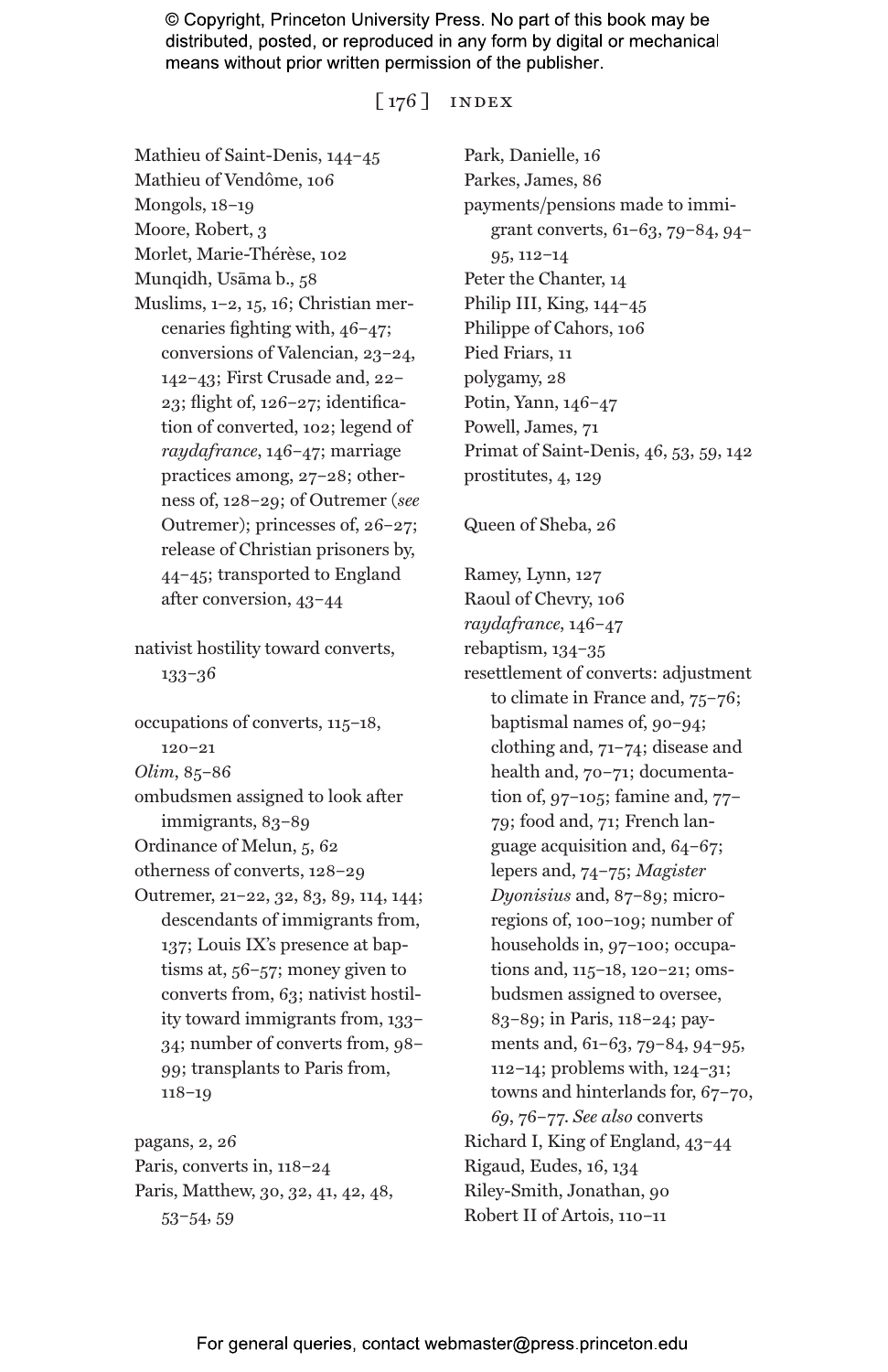#### [ 176 ] Index

Mathieu of Saint-Denis, 144–45 Mathieu of Vendôme, 106 Mongols, 18–19 Moore, Robert, 3 Morlet, Marie-Thérèse, 102 Munqidh, Usāma b., 58 Muslims, 1–2, 15, 16; Christian mercenaries fighting with, 46–47; conversions of Valencian, 23–24, 142–43; First Crusade and, 22– 23; flight of, 126–27; identification of converted, 102; legend of *raydafrance*, 146–47; marriage practices among, 27–28; otherness of, 128–29; of Outremer (*see* Outremer); princesses of, 26–27; release of Christian prisoners by, 44–45; transported to England after conversion, 43–44 nativist hostility toward converts, 133–36 occupations of converts, 115–18, 120–21 *Olim*, 85–86 ombudsmen assigned to look after immigrants, 83–89 Ordinance of Melun, 5, 62 otherness of converts, 128–29 Outremer, 21–22, 32, 83, 89, 114, 144; descendants of immigrants from, 137; Louis IX's presence at baptisms at, 56–57; money given to converts from, 63; nativist hostility toward immigrants from, 133– 34; number of converts from, 98– 99; transplants to Paris from, 118–19

pagans, 2, 26 Paris, converts in, 118–24 Paris, Matthew, 30, 32, 41, 42, 48, 53–54, 59

Park, Danielle, 16 Parkes, James, 86 payments/pensions made to immigrant converts, 61–63, 79–84, 94– 95, 112–14 Peter the Chanter, 14 Philip III, King, 144–45 Philippe of Cahors, 106 Pied Friars, 11 polygamy, 28 Potin, Yann, 146–47 Powell, James, 71 Primat of Saint-Denis, 46, 53, 59, 142 prostitutes, 4, 129

#### Queen of Sheba, 26

Ramey, Lynn, 127 Raoul of Chevry, 106 *raydafrance*, 146–47 rebaptism, 134–35 resettlement of converts: adjustment to climate in France and, 75–76; baptismal names of, 90–94; clothing and, 71–74; disease and health and, 70–71; documentation of, 97–105; famine and, 77– 79; food and, 71; French language acquisition and, 64–67; lepers and, 74–75; *Magister Dyonisius* and, 87–89; microregions of, 100–109; number of households in, 97–100; occupations and, 115–18, 120–21; omsbudsmen assigned to oversee, 83–89; in Paris, 118–24; payments and, 61–63, 79–84, 94–95, 112–14; problems with, 124–31; towns and hinterlands for, 67–70, *69*, 76–77. *See also* converts Richard I, King of England, 43–44 Rigaud, Eudes, 16, 134 Riley-Smith, Jonathan, 90 Robert II of Artois, 110–11